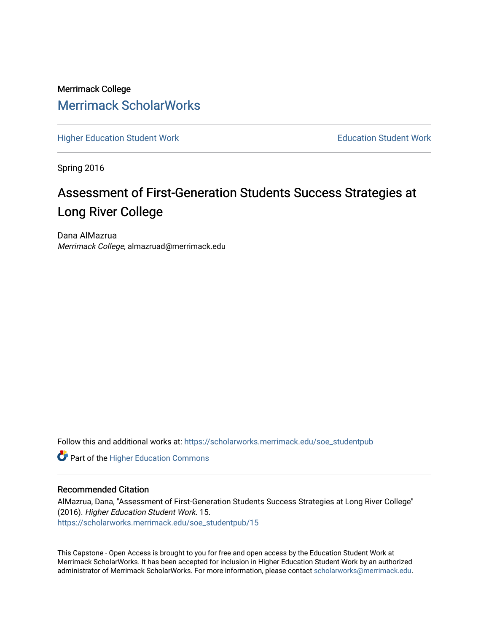## Merrimack College [Merrimack ScholarWorks](https://scholarworks.merrimack.edu/)

[Higher Education Student Work](https://scholarworks.merrimack.edu/soe_studentpub) **Education Student Work** Education Student Work

Spring 2016

# Assessment of First-Generation Students Success Strategies at Long River College

Dana AlMazrua Merrimack College, almazruad@merrimack.edu

Follow this and additional works at: [https://scholarworks.merrimack.edu/soe\\_studentpub](https://scholarworks.merrimack.edu/soe_studentpub?utm_source=scholarworks.merrimack.edu%2Fsoe_studentpub%2F15&utm_medium=PDF&utm_campaign=PDFCoverPages) 

**Part of the Higher Education Commons** 

#### Recommended Citation

AlMazrua, Dana, "Assessment of First-Generation Students Success Strategies at Long River College" (2016). Higher Education Student Work. 15. [https://scholarworks.merrimack.edu/soe\\_studentpub/15](https://scholarworks.merrimack.edu/soe_studentpub/15?utm_source=scholarworks.merrimack.edu%2Fsoe_studentpub%2F15&utm_medium=PDF&utm_campaign=PDFCoverPages) 

This Capstone - Open Access is brought to you for free and open access by the Education Student Work at Merrimack ScholarWorks. It has been accepted for inclusion in Higher Education Student Work by an authorized administrator of Merrimack ScholarWorks. For more information, please contact [scholarworks@merrimack.edu](mailto:scholarworks@merrimack.edu).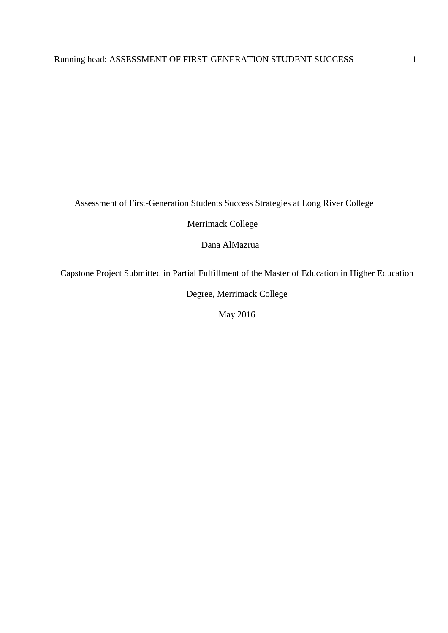Assessment of First-Generation Students Success Strategies at Long River College

Merrimack College

Dana AlMazrua

Capstone Project Submitted in Partial Fulfillment of the Master of Education in Higher Education

Degree, Merrimack College

May 2016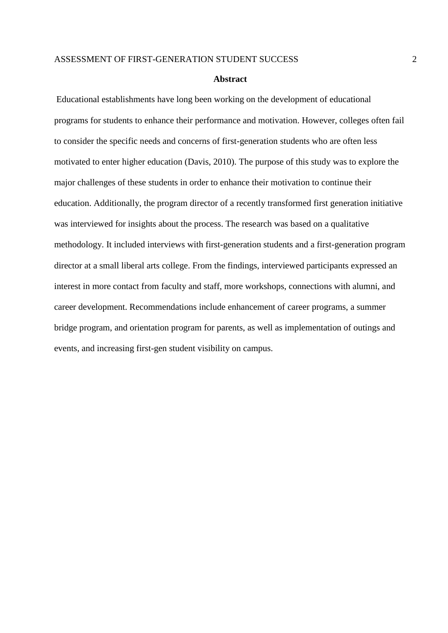#### **Abstract**

Educational establishments have long been working on the development of educational programs for students to enhance their performance and motivation. However, colleges often fail to consider the specific needs and concerns of first-generation students who are often less motivated to enter higher education (Davis, 2010). The purpose of this study was to explore the major challenges of these students in order to enhance their motivation to continue their education. Additionally, the program director of a recently transformed first generation initiative was interviewed for insights about the process. The research was based on a qualitative methodology. It included interviews with first-generation students and a first-generation program director at a small liberal arts college. From the findings, interviewed participants expressed an interest in more contact from faculty and staff, more workshops, connections with alumni, and career development. Recommendations include enhancement of career programs, a summer bridge program, and orientation program for parents, as well as implementation of outings and events, and increasing first-gen student visibility on campus.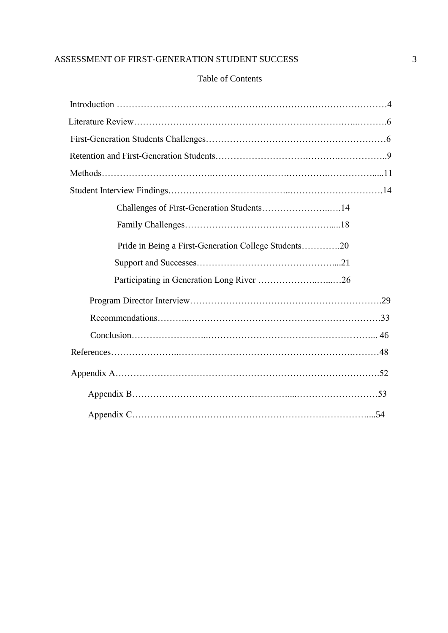## Table of Contents

| Pride in Being a First-Generation College Students20 |
|------------------------------------------------------|
|                                                      |
|                                                      |
|                                                      |
|                                                      |
|                                                      |
|                                                      |
|                                                      |
|                                                      |
|                                                      |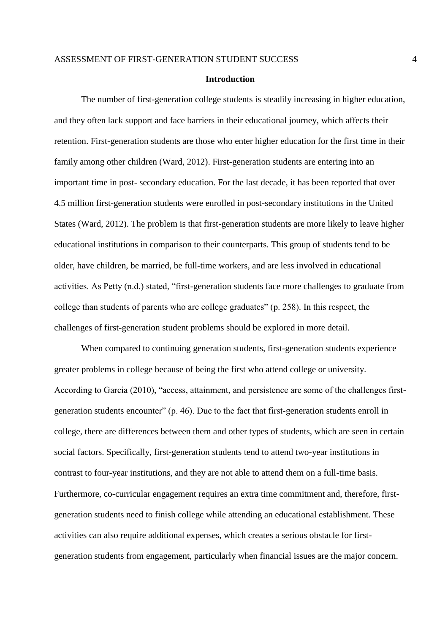#### **Introduction**

The number of first-generation college students is steadily increasing in higher education, and they often lack support and face barriers in their educational journey, which affects their retention. First-generation students are those who enter higher education for the first time in their family among other children (Ward, 2012). First-generation students are entering into an important time in post- secondary education. For the last decade, it has been reported that over 4.5 million first-generation students were enrolled in post-secondary institutions in the United States (Ward, 2012). The problem is that first-generation students are more likely to leave higher educational institutions in comparison to their counterparts. This group of students tend to be older, have children, be married, be full-time workers, and are less involved in educational activities. As Petty (n.d.) stated, "first-generation students face more challenges to graduate from college than students of parents who are college graduates" (p. 258). In this respect, the challenges of first-generation student problems should be explored in more detail.

When compared to continuing generation students, first-generation students experience greater problems in college because of being the first who attend college or university. According to Garcia (2010), "access, attainment, and persistence are some of the challenges firstgeneration students encounter" (p. 46). Due to the fact that first-generation students enroll in college, there are differences between them and other types of students, which are seen in certain social factors. Specifically, first-generation students tend to attend two-year institutions in contrast to four-year institutions, and they are not able to attend them on a full-time basis. Furthermore, co-curricular engagement requires an extra time commitment and, therefore, firstgeneration students need to finish college while attending an educational establishment. These activities can also require additional expenses, which creates a serious obstacle for firstgeneration students from engagement, particularly when financial issues are the major concern.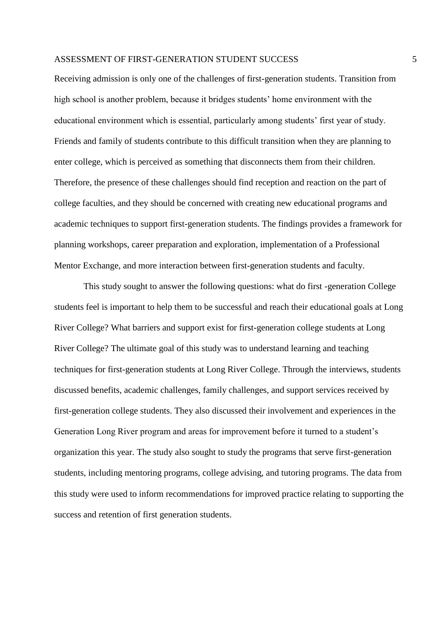#### ASSESSMENT OF FIRST-GENERATION STUDENT SUCCESS  $\qquad \qquad \, \, 5$

Receiving admission is only one of the challenges of first-generation students. Transition from high school is another problem, because it bridges students' home environment with the educational environment which is essential, particularly among students' first year of study. Friends and family of students contribute to this difficult transition when they are planning to enter college, which is perceived as something that disconnects them from their children. Therefore, the presence of these challenges should find reception and reaction on the part of college faculties, and they should be concerned with creating new educational programs and academic techniques to support first-generation students. The findings provides a framework for planning workshops, career preparation and exploration, implementation of a Professional Mentor Exchange, and more interaction between first-generation students and faculty.

 This study sought to answer the following questions: what do first -generation College students feel is important to help them to be successful and reach their educational goals at Long River College? What barriers and support exist for first-generation college students at Long River College? The ultimate goal of this study was to understand learning and teaching techniques for first-generation students at Long River College. Through the interviews, students discussed benefits, academic challenges, family challenges, and support services received by first-generation college students. They also discussed their involvement and experiences in the Generation Long River program and areas for improvement before it turned to a student's organization this year. The study also sought to study the programs that serve first-generation students, including mentoring programs, college advising, and tutoring programs. The data from this study were used to inform recommendations for improved practice relating to supporting the success and retention of first generation students.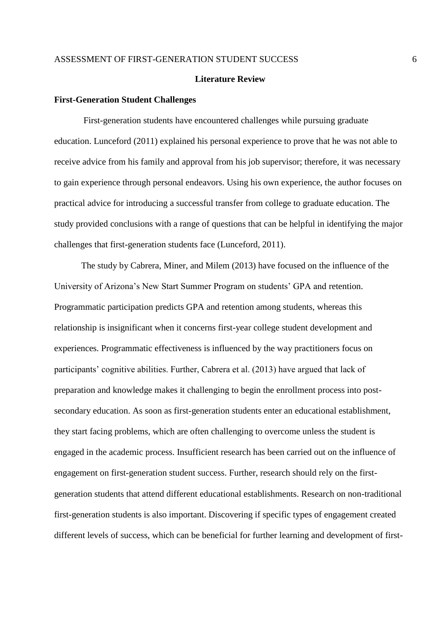#### **Literature Review**

#### **First-Generation Student Challenges**

 First-generation students have encountered challenges while pursuing graduate education. Lunceford (2011) explained his personal experience to prove that he was not able to receive advice from his family and approval from his job supervisor; therefore, it was necessary to gain experience through personal endeavors. Using his own experience, the author focuses on practical advice for introducing a successful transfer from college to graduate education. The study provided conclusions with a range of questions that can be helpful in identifying the major challenges that first-generation students face (Lunceford, 2011).

The study by Cabrera, Miner, and Milem (2013) have focused on the influence of the University of Arizona's New Start Summer Program on students' GPA and retention. Programmatic participation predicts GPA and retention among students, whereas this relationship is insignificant when it concerns first-year college student development and experiences. Programmatic effectiveness is influenced by the way practitioners focus on participants' cognitive abilities. Further, Cabrera et al. (2013) have argued that lack of preparation and knowledge makes it challenging to begin the enrollment process into postsecondary education. As soon as first-generation students enter an educational establishment, they start facing problems, which are often challenging to overcome unless the student is engaged in the academic process. Insufficient research has been carried out on the influence of engagement on first-generation student success. Further, research should rely on the firstgeneration students that attend different educational establishments. Research on non-traditional first-generation students is also important. Discovering if specific types of engagement created different levels of success, which can be beneficial for further learning and development of first-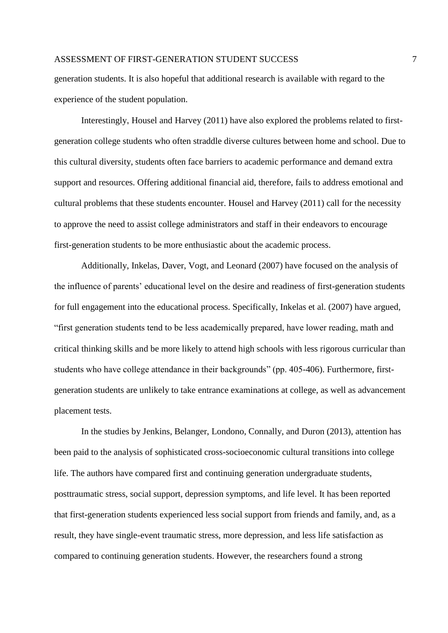#### ASSESSMENT OF FIRST-GENERATION STUDENT SUCCESS  $\overline{7}$

generation students. It is also hopeful that additional research is available with regard to the experience of the student population.

Interestingly, Housel and Harvey (2011) have also explored the problems related to firstgeneration college students who often straddle diverse cultures between home and school. Due to this cultural diversity, students often face barriers to academic performance and demand extra support and resources. Offering additional financial aid, therefore, fails to address emotional and cultural problems that these students encounter. Housel and Harvey (2011) call for the necessity to approve the need to assist college administrators and staff in their endeavors to encourage first-generation students to be more enthusiastic about the academic process.

 Additionally, Inkelas, Daver, Vogt, and Leonard (2007) have focused on the analysis of the influence of parents' educational level on the desire and readiness of first-generation students for full engagement into the educational process. Specifically, Inkelas et al. (2007) have argued, "first generation students tend to be less academically prepared, have lower reading, math and critical thinking skills and be more likely to attend high schools with less rigorous curricular than students who have college attendance in their backgrounds" (pp. 405-406). Furthermore, firstgeneration students are unlikely to take entrance examinations at college, as well as advancement placement tests.

In the studies by Jenkins, Belanger, Londono, Connally, and Duron (2013), attention has been paid to the analysis of sophisticated cross-socioeconomic cultural transitions into college life. The authors have compared first and continuing generation undergraduate students, posttraumatic stress, social support, depression symptoms, and life level. It has been reported that first-generation students experienced less social support from friends and family, and, as a result, they have single-event traumatic stress, more depression, and less life satisfaction as compared to continuing generation students. However, the researchers found a strong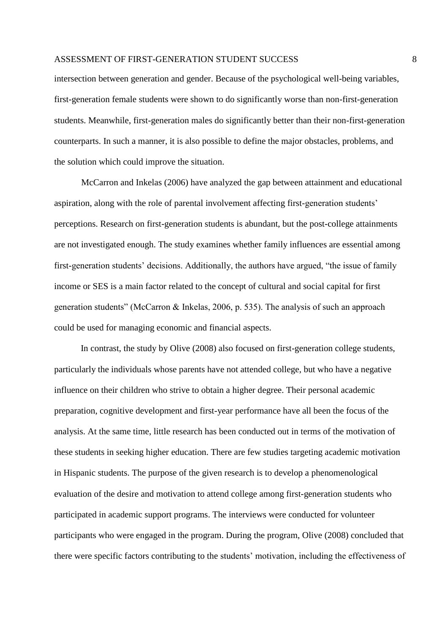intersection between generation and gender. Because of the psychological well-being variables, first-generation female students were shown to do significantly worse than non-first-generation students. Meanwhile, first-generation males do significantly better than their non-first-generation counterparts. In such a manner, it is also possible to define the major obstacles, problems, and the solution which could improve the situation.

McCarron and Inkelas (2006) have analyzed the gap between attainment and educational aspiration, along with the role of parental involvement affecting first-generation students' perceptions. Research on first-generation students is abundant, but the post-college attainments are not investigated enough. The study examines whether family influences are essential among first-generation students' decisions. Additionally, the authors have argued, "the issue of family income or SES is a main factor related to the concept of cultural and social capital for first generation students" (McCarron & Inkelas, 2006, p. 535). The analysis of such an approach could be used for managing economic and financial aspects.

In contrast, the study by Olive (2008) also focused on first-generation college students, particularly the individuals whose parents have not attended college, but who have a negative influence on their children who strive to obtain a higher degree. Their personal academic preparation, cognitive development and first-year performance have all been the focus of the analysis. At the same time, little research has been conducted out in terms of the motivation of these students in seeking higher education. There are few studies targeting academic motivation in Hispanic students. The purpose of the given research is to develop a phenomenological evaluation of the desire and motivation to attend college among first-generation students who participated in academic support programs. The interviews were conducted for volunteer participants who were engaged in the program. During the program, Olive (2008) concluded that there were specific factors contributing to the students' motivation, including the effectiveness of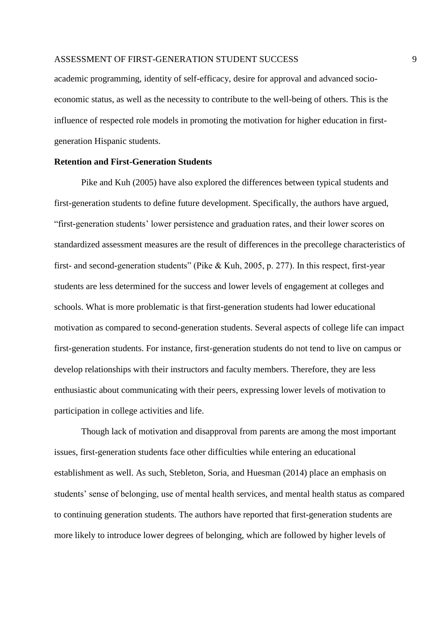academic programming, identity of self-efficacy, desire for approval and advanced socioeconomic status, as well as the necessity to contribute to the well-being of others. This is the influence of respected role models in promoting the motivation for higher education in firstgeneration Hispanic students.

#### **Retention and First-Generation Students**

Pike and Kuh (2005) have also explored the differences between typical students and first-generation students to define future development. Specifically, the authors have argued, "first-generation students' lower persistence and graduation rates, and their lower scores on standardized assessment measures are the result of differences in the precollege characteristics of first- and second-generation students" (Pike & Kuh, 2005, p. 277). In this respect, first-year students are less determined for the success and lower levels of engagement at colleges and schools. What is more problematic is that first-generation students had lower educational motivation as compared to second-generation students. Several aspects of college life can impact first-generation students. For instance, first-generation students do not tend to live on campus or develop relationships with their instructors and faculty members. Therefore, they are less enthusiastic about communicating with their peers, expressing lower levels of motivation to participation in college activities and life.

Though lack of motivation and disapproval from parents are among the most important issues, first-generation students face other difficulties while entering an educational establishment as well. As such, Stebleton, Soria, and Huesman (2014) place an emphasis on students' sense of belonging, use of mental health services, and mental health status as compared to continuing generation students. The authors have reported that first-generation students are more likely to introduce lower degrees of belonging, which are followed by higher levels of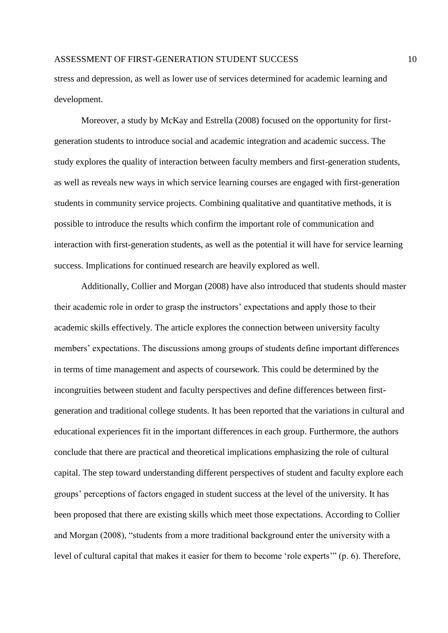stress and depression, as well as lower use of services determined for academic learning and development.

Moreover, a study by McKay and Estrella (2008) focused on the opportunity for firstgeneration students to introduce social and academic integration and academic success. The study explores the quality of interaction between faculty members and first-generation students, as well as reveals new ways in which service learning courses are engaged with first-generation students in community service projects. Combining qualitative and quantitative methods, it is possible to introduce the results which confirm the important role of communication and interaction with first-generation students, as well as the potential it will have for service learning success. Implications for continued research are heavily explored as well.

Additionally, Collier and Morgan (2008) have also introduced that students should master their academic role in order to grasp the instructors' expectations and apply those to their academic skills effectively. The article explores the connection between university faculty members' expectations. The discussions among groups of students define important differences in terms of time management and aspects of coursework. This could be determined by the incongruities between student and faculty perspectives and define differences between firstgeneration and traditional college students. It has been reported that the variations in cultural and educational experiences fit in the important differences in each group. Furthermore, the authors conclude that there are practical and theoretical implications emphasizing the role of cultural capital. The step toward understanding different perspectives of student and faculty explore each groups' perceptions of factors engaged in student success at the level of the university. It has been proposed that there are existing skills which meet those expectations. According to Collier and Morgan (2008), "students from a more traditional background enter the university with a level of cultural capital that makes it easier for them to become 'role experts'" (p. 6). Therefore,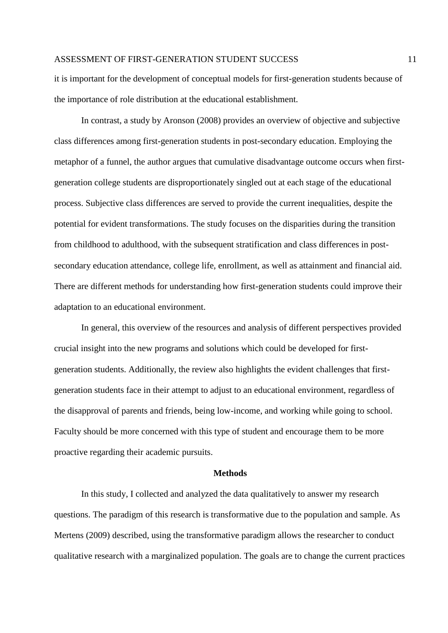it is important for the development of conceptual models for first-generation students because of the importance of role distribution at the educational establishment.

In contrast, a study by Aronson (2008) provides an overview of objective and subjective class differences among first-generation students in post-secondary education. Employing the metaphor of a funnel, the author argues that cumulative disadvantage outcome occurs when firstgeneration college students are disproportionately singled out at each stage of the educational process. Subjective class differences are served to provide the current inequalities, despite the potential for evident transformations. The study focuses on the disparities during the transition from childhood to adulthood, with the subsequent stratification and class differences in postsecondary education attendance, college life, enrollment, as well as attainment and financial aid. There are different methods for understanding how first-generation students could improve their adaptation to an educational environment.

In general, this overview of the resources and analysis of different perspectives provided crucial insight into the new programs and solutions which could be developed for firstgeneration students. Additionally, the review also highlights the evident challenges that firstgeneration students face in their attempt to adjust to an educational environment, regardless of the disapproval of parents and friends, being low-income, and working while going to school. Faculty should be more concerned with this type of student and encourage them to be more proactive regarding their academic pursuits.

#### **Methods**

 In this study, I collected and analyzed the data qualitatively to answer my research questions. The paradigm of this research is transformative due to the population and sample. As Mertens (2009) described, using the transformative paradigm allows the researcher to conduct qualitative research with a marginalized population. The goals are to change the current practices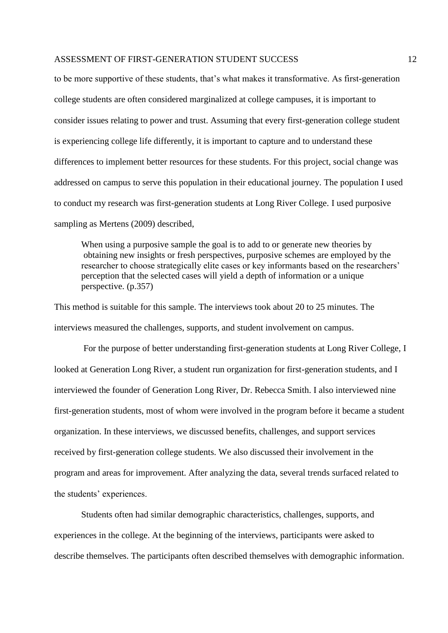to be more supportive of these students, that's what makes it transformative. As first-generation college students are often considered marginalized at college campuses, it is important to consider issues relating to power and trust. Assuming that every first-generation college student is experiencing college life differently, it is important to capture and to understand these differences to implement better resources for these students. For this project, social change was addressed on campus to serve this population in their educational journey. The population I used to conduct my research was first-generation students at Long River College. I used purposive sampling as Mertens (2009) described,

When using a purposive sample the goal is to add to or generate new theories by obtaining new insights or fresh perspectives, purposive schemes are employed by the researcher to choose strategically elite cases or key informants based on the researchers' perception that the selected cases will yield a depth of information or a unique perspective. (p.357)

This method is suitable for this sample. The interviews took about 20 to 25 minutes. The interviews measured the challenges, supports, and student involvement on campus.

For the purpose of better understanding first-generation students at Long River College, I looked at Generation Long River, a student run organization for first-generation students, and I interviewed the founder of Generation Long River, Dr. Rebecca Smith. I also interviewed nine first-generation students, most of whom were involved in the program before it became a student organization. In these interviews, we discussed benefits, challenges, and support services received by first-generation college students. We also discussed their involvement in the program and areas for improvement. After analyzing the data, several trends surfaced related to the students' experiences.

Students often had similar demographic characteristics, challenges, supports, and experiences in the college. At the beginning of the interviews, participants were asked to describe themselves. The participants often described themselves with demographic information.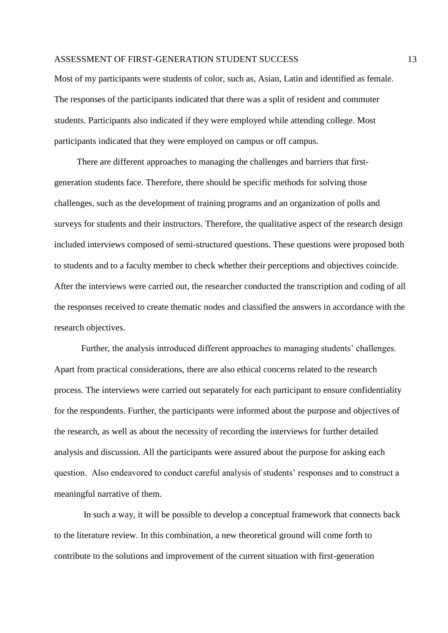Most of my participants were students of color, such as, Asian, Latin and identified as female. The responses of the participants indicated that there was a split of resident and commuter students. Participants also indicated if they were employed while attending college. Most participants indicated that they were employed on campus or off campus.

 There are different approaches to managing the challenges and barriers that firstgeneration students face. Therefore, there should be specific methods for solving those challenges, such as the development of training programs and an organization of polls and surveys for students and their instructors. Therefore, the qualitative aspect of the research design included interviews composed of semi-structured questions. These questions were proposed both to students and to a faculty member to check whether their perceptions and objectives coincide. After the interviews were carried out, the researcher conducted the transcription and coding of all the responses received to create thematic nodes and classified the answers in accordance with the research objectives.

Further, the analysis introduced different approaches to managing students' challenges. Apart from practical considerations, there are also ethical concerns related to the research process. The interviews were carried out separately for each participant to ensure confidentiality for the respondents. Further, the participants were informed about the purpose and objectives of the research, as well as about the necessity of recording the interviews for further detailed analysis and discussion. All the participants were assured about the purpose for asking each question. Also endeavored to conduct careful analysis of students' responses and to construct a meaningful narrative of them.

 In such a way, it will be possible to develop a conceptual framework that connects back to the literature review. In this combination, a new theoretical ground will come forth to contribute to the solutions and improvement of the current situation with first-generation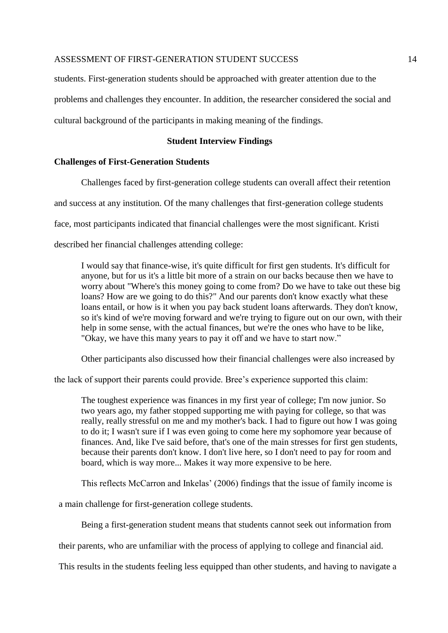students. First-generation students should be approached with greater attention due to the problems and challenges they encounter. In addition, the researcher considered the social and cultural background of the participants in making meaning of the findings.

#### **Student Interview Findings**

### **Challenges of First-Generation Students**

Challenges faced by first-generation college students can overall affect their retention

and success at any institution. Of the many challenges that first-generation college students

face, most participants indicated that financial challenges were the most significant. Kristi

described her financial challenges attending college:

I would say that finance-wise, it's quite difficult for first gen students. It's difficult for anyone, but for us it's a little bit more of a strain on our backs because then we have to worry about "Where's this money going to come from? Do we have to take out these big loans? How are we going to do this?" And our parents don't know exactly what these loans entail, or how is it when you pay back student loans afterwards. They don't know, so it's kind of we're moving forward and we're trying to figure out on our own, with their help in some sense, with the actual finances, but we're the ones who have to be like, "Okay, we have this many years to pay it off and we have to start now."

Other participants also discussed how their financial challenges were also increased by

the lack of support their parents could provide. Bree's experience supported this claim:

The toughest experience was finances in my first year of college; I'm now junior. So two years ago, my father stopped supporting me with paying for college, so that was really, really stressful on me and my mother's back. I had to figure out how I was going to do it; I wasn't sure if I was even going to come here my sophomore year because of finances. And, like I've said before, that's one of the main stresses for first gen students, because their parents don't know. I don't live here, so I don't need to pay for room and board, which is way more... Makes it way more expensive to be here.

This reflects McCarron and Inkelas' (2006) findings that the issue of family income is

a main challenge for first-generation college students.

Being a first-generation student means that students cannot seek out information from

their parents, who are unfamiliar with the process of applying to college and financial aid.

This results in the students feeling less equipped than other students, and having to navigate a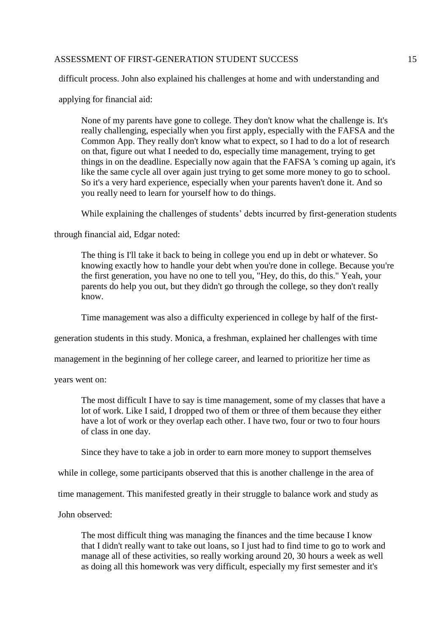difficult process. John also explained his challenges at home and with understanding and

applying for financial aid:

None of my parents have gone to college. They don't know what the challenge is. It's really challenging, especially when you first apply, especially with the FAFSA and the Common App. They really don't know what to expect, so I had to do a lot of research on that, figure out what I needed to do, especially time management, trying to get things in on the deadline. Especially now again that the FAFSA 's coming up again, it's like the same cycle all over again just trying to get some more money to go to school. So it's a very hard experience, especially when your parents haven't done it. And so you really need to learn for yourself how to do things.

While explaining the challenges of students' debts incurred by first-generation students

through financial aid, Edgar noted:

The thing is I'll take it back to being in college you end up in debt or whatever. So knowing exactly how to handle your debt when you're done in college. Because you're the first generation, you have no one to tell you, "Hey, do this, do this." Yeah, your parents do help you out, but they didn't go through the college, so they don't really know.

Time management was also a difficulty experienced in college by half of the first-

generation students in this study. Monica, a freshman, explained her challenges with time

management in the beginning of her college career, and learned to prioritize her time as

years went on:

The most difficult I have to say is time management, some of my classes that have a lot of work. Like I said, I dropped two of them or three of them because they either have a lot of work or they overlap each other. I have two, four or two to four hours of class in one day.

Since they have to take a job in order to earn more money to support themselves

while in college, some participants observed that this is another challenge in the area of

time management. This manifested greatly in their struggle to balance work and study as

John observed:

The most difficult thing was managing the finances and the time because I know that I didn't really want to take out loans, so I just had to find time to go to work and manage all of these activities, so really working around 20, 30 hours a week as well as doing all this homework was very difficult, especially my first semester and it's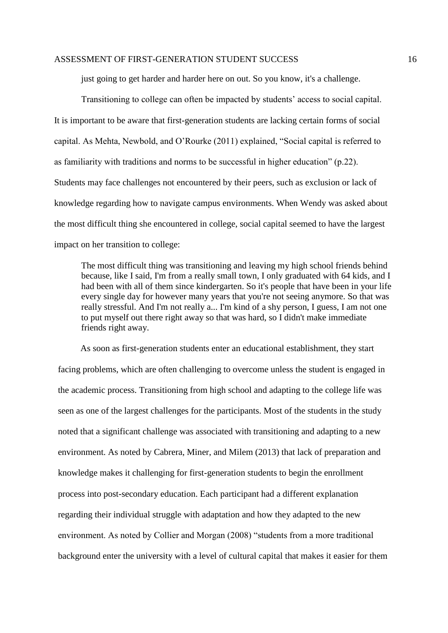just going to get harder and harder here on out. So you know, it's a challenge.

Transitioning to college can often be impacted by students' access to social capital. It is important to be aware that first-generation students are lacking certain forms of social capital. As Mehta, Newbold, and O'Rourke (2011) explained, "Social capital is referred to as familiarity with traditions and norms to be successful in higher education" (p.22). Students may face challenges not encountered by their peers, such as exclusion or lack of knowledge regarding how to navigate campus environments. When Wendy was asked about the most difficult thing she encountered in college, social capital seemed to have the largest impact on her transition to college:

The most difficult thing was transitioning and leaving my high school friends behind because, like I said, I'm from a really small town, I only graduated with 64 kids, and I had been with all of them since kindergarten. So it's people that have been in your life every single day for however many years that you're not seeing anymore. So that was really stressful. And I'm not really a... I'm kind of a shy person, I guess, I am not one to put myself out there right away so that was hard, so I didn't make immediate friends right away.

 As soon as first-generation students enter an educational establishment, they start facing problems, which are often challenging to overcome unless the student is engaged in the academic process. Transitioning from high school and adapting to the college life was seen as one of the largest challenges for the participants. Most of the students in the study noted that a significant challenge was associated with transitioning and adapting to a new environment. As noted by Cabrera, Miner, and Milem (2013) that lack of preparation and knowledge makes it challenging for first-generation students to begin the enrollment process into post-secondary education. Each participant had a different explanation regarding their individual struggle with adaptation and how they adapted to the new environment. As noted by Collier and Morgan (2008) "students from a more traditional background enter the university with a level of cultural capital that makes it easier for them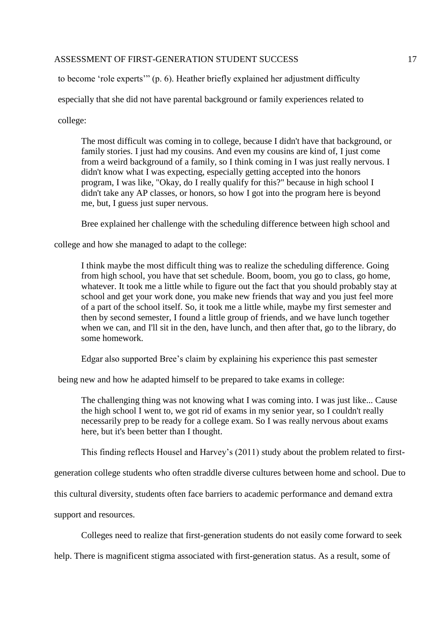to become 'role experts'" (p. 6). Heather briefly explained her adjustment difficulty

especially that she did not have parental background or family experiences related to

college:

The most difficult was coming in to college, because I didn't have that background, or family stories. I just had my cousins. And even my cousins are kind of, I just come from a weird background of a family, so I think coming in I was just really nervous. I didn't know what I was expecting, especially getting accepted into the honors program, I was like, "Okay, do I really qualify for this?" because in high school I didn't take any AP classes, or honors, so how I got into the program here is beyond me, but, I guess just super nervous.

Bree explained her challenge with the scheduling difference between high school and

college and how she managed to adapt to the college:

I think maybe the most difficult thing was to realize the scheduling difference. Going from high school, you have that set schedule. Boom, boom, you go to class, go home, whatever. It took me a little while to figure out the fact that you should probably stay at school and get your work done, you make new friends that way and you just feel more of a part of the school itself. So, it took me a little while, maybe my first semester and then by second semester, I found a little group of friends, and we have lunch together when we can, and I'll sit in the den, have lunch, and then after that, go to the library, do some homework.

Edgar also supported Bree's claim by explaining his experience this past semester

being new and how he adapted himself to be prepared to take exams in college:

The challenging thing was not knowing what I was coming into. I was just like... Cause the high school I went to, we got rid of exams in my senior year, so I couldn't really necessarily prep to be ready for a college exam. So I was really nervous about exams here, but it's been better than I thought.

This finding reflects Housel and Harvey's (2011) study about the problem related to first-

generation college students who often straddle diverse cultures between home and school. Due to

this cultural diversity, students often face barriers to academic performance and demand extra

support and resources.

Colleges need to realize that first-generation students do not easily come forward to seek

help. There is magnificent stigma associated with first-generation status. As a result, some of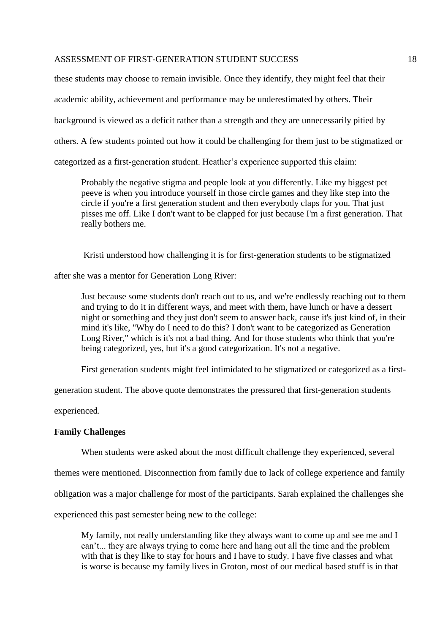these students may choose to remain invisible. Once they identify, they might feel that their academic ability, achievement and performance may be underestimated by others. Their background is viewed as a deficit rather than a strength and they are unnecessarily pitied by others. A few students pointed out how it could be challenging for them just to be stigmatized or categorized as a first-generation student. Heather's experience supported this claim:

Probably the negative stigma and people look at you differently. Like my biggest pet peeve is when you introduce yourself in those circle games and they like step into the circle if you're a first generation student and then everybody claps for you. That just pisses me off. Like I don't want to be clapped for just because I'm a first generation. That really bothers me.

Kristi understood how challenging it is for first-generation students to be stigmatized

after she was a mentor for Generation Long River:

Just because some students don't reach out to us, and we're endlessly reaching out to them and trying to do it in different ways, and meet with them, have lunch or have a dessert night or something and they just don't seem to answer back, cause it's just kind of, in their mind it's like, "Why do I need to do this? I don't want to be categorized as Generation Long River," which is it's not a bad thing. And for those students who think that you're being categorized, yes, but it's a good categorization. It's not a negative.

First generation students might feel intimidated to be stigmatized or categorized as a first-

generation student. The above quote demonstrates the pressured that first-generation students

experienced.

#### **Family Challenges**

When students were asked about the most difficult challenge they experienced, several

themes were mentioned. Disconnection from family due to lack of college experience and family

obligation was a major challenge for most of the participants. Sarah explained the challenges she

experienced this past semester being new to the college:

My family, not really understanding like they always want to come up and see me and I can't... they are always trying to come here and hang out all the time and the problem with that is they like to stay for hours and I have to study. I have five classes and what is worse is because my family lives in Groton, most of our medical based stuff is in that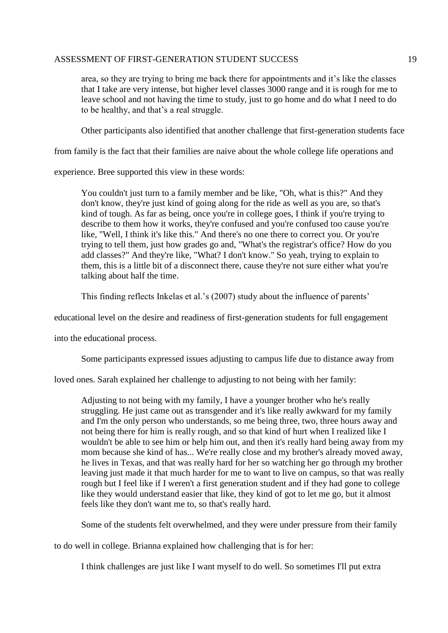area, so they are trying to bring me back there for appointments and it's like the classes that I take are very intense, but higher level classes 3000 range and it is rough for me to leave school and not having the time to study, just to go home and do what I need to do to be healthy, and that's a real struggle.

Other participants also identified that another challenge that first-generation students face

from family is the fact that their families are naive about the whole college life operations and

experience. Bree supported this view in these words:

You couldn't just turn to a family member and be like, "Oh, what is this?" And they don't know, they're just kind of going along for the ride as well as you are, so that's kind of tough. As far as being, once you're in college goes, I think if you're trying to describe to them how it works, they're confused and you're confused too cause you're like, "Well, I think it's like this." And there's no one there to correct you. Or you're trying to tell them, just how grades go and, "What's the registrar's office? How do you add classes?" And they're like, "What? I don't know." So yeah, trying to explain to them, this is a little bit of a disconnect there, cause they're not sure either what you're talking about half the time.

This finding reflects Inkelas et al.'s (2007) study about the influence of parents'

educational level on the desire and readiness of first-generation students for full engagement

into the educational process.

Some participants expressed issues adjusting to campus life due to distance away from

loved ones. Sarah explained her challenge to adjusting to not being with her family:

Adjusting to not being with my family, I have a younger brother who he's really struggling. He just came out as transgender and it's like really awkward for my family and I'm the only person who understands, so me being three, two, three hours away and not being there for him is really rough, and so that kind of hurt when I realized like I wouldn't be able to see him or help him out, and then it's really hard being away from my mom because she kind of has... We're really close and my brother's already moved away, he lives in Texas, and that was really hard for her so watching her go through my brother leaving just made it that much harder for me to want to live on campus, so that was really rough but I feel like if I weren't a first generation student and if they had gone to college like they would understand easier that like, they kind of got to let me go, but it almost feels like they don't want me to, so that's really hard.

Some of the students felt overwhelmed, and they were under pressure from their family

to do well in college. Brianna explained how challenging that is for her:

I think challenges are just like I want myself to do well. So sometimes I'll put extra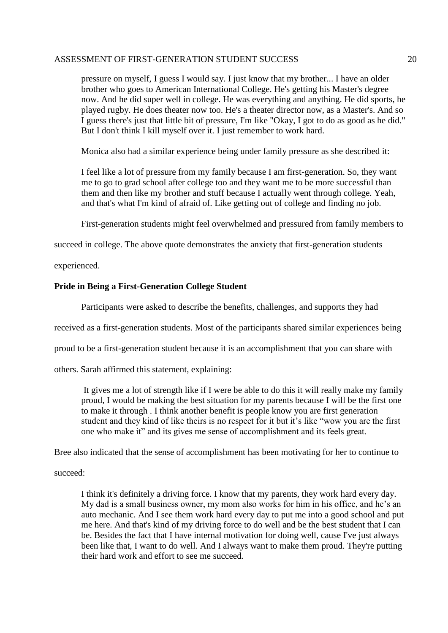pressure on myself, I guess I would say. I just know that my brother... I have an older brother who goes to American International College. He's getting his Master's degree now. And he did super well in college. He was everything and anything. He did sports, he played rugby. He does theater now too. He's a theater director now, as a Master's. And so I guess there's just that little bit of pressure, I'm like "Okay, I got to do as good as he did." But I don't think I kill myself over it. I just remember to work hard.

Monica also had a similar experience being under family pressure as she described it:

I feel like a lot of pressure from my family because I am first-generation. So, they want me to go to grad school after college too and they want me to be more successful than them and then like my brother and stuff because I actually went through college. Yeah, and that's what I'm kind of afraid of. Like getting out of college and finding no job.

First-generation students might feel overwhelmed and pressured from family members to

succeed in college. The above quote demonstrates the anxiety that first-generation students

experienced.

## **Pride in Being a First-Generation College Student**

Participants were asked to describe the benefits, challenges, and supports they had

received as a first-generation students. Most of the participants shared similar experiences being

proud to be a first-generation student because it is an accomplishment that you can share with

others. Sarah affirmed this statement, explaining:

It gives me a lot of strength like if I were be able to do this it will really make my family proud, I would be making the best situation for my parents because I will be the first one to make it through . I think another benefit is people know you are first generation student and they kind of like theirs is no respect for it but it's like "wow you are the first one who make it" and its gives me sense of accomplishment and its feels great.

Bree also indicated that the sense of accomplishment has been motivating for her to continue to

succeed:

I think it's definitely a driving force. I know that my parents, they work hard every day. My dad is a small business owner, my mom also works for him in his office, and he's an auto mechanic. And I see them work hard every day to put me into a good school and put me here. And that's kind of my driving force to do well and be the best student that I can be. Besides the fact that I have internal motivation for doing well, cause I've just always been like that, I want to do well. And I always want to make them proud. They're putting their hard work and effort to see me succeed.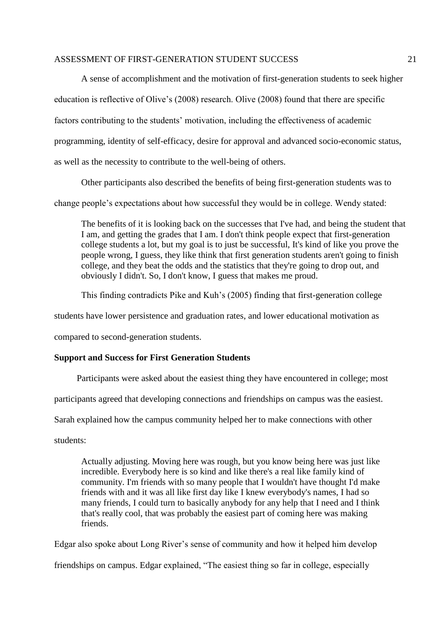A sense of accomplishment and the motivation of first-generation students to seek higher education is reflective of Olive's (2008) research. Olive (2008) found that there are specific factors contributing to the students' motivation, including the effectiveness of academic programming, identity of self-efficacy, desire for approval and advanced socio-economic status, as well as the necessity to contribute to the well-being of others.

Other participants also described the benefits of being first-generation students was to

change people's expectations about how successful they would be in college. Wendy stated:

The benefits of it is looking back on the successes that I've had, and being the student that I am, and getting the grades that I am. I don't think people expect that first-generation college students a lot, but my goal is to just be successful, It's kind of like you prove the people wrong, I guess, they like think that first generation students aren't going to finish college, and they beat the odds and the statistics that they're going to drop out, and obviously I didn't. So, I don't know, I guess that makes me proud.

This finding contradicts Pike and Kuh's (2005) finding that first-generation college

students have lower persistence and graduation rates, and lower educational motivation as

compared to second-generation students.

### **Support and Success for First Generation Students**

Participants were asked about the easiest thing they have encountered in college; most

participants agreed that developing connections and friendships on campus was the easiest.

Sarah explained how the campus community helped her to make connections with other

students:

Actually adjusting. Moving here was rough, but you know being here was just like incredible. Everybody here is so kind and like there's a real like family kind of community. I'm friends with so many people that I wouldn't have thought I'd make friends with and it was all like first day like I knew everybody's names, I had so many friends, I could turn to basically anybody for any help that I need and I think that's really cool, that was probably the easiest part of coming here was making friends.

Edgar also spoke about Long River's sense of community and how it helped him develop

friendships on campus. Edgar explained, "The easiest thing so far in college, especially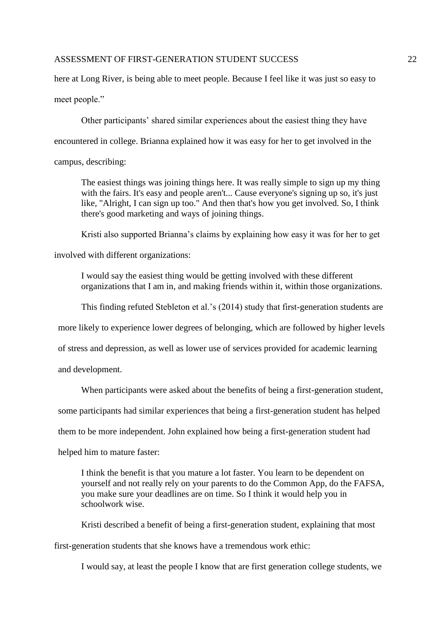here at Long River, is being able to meet people. Because I feel like it was just so easy to

meet people."

Other participants' shared similar experiences about the easiest thing they have

encountered in college. Brianna explained how it was easy for her to get involved in the

campus, describing:

The easiest things was joining things here. It was really simple to sign up my thing with the fairs. It's easy and people aren't... Cause everyone's signing up so, it's just like, "Alright, I can sign up too." And then that's how you get involved. So, I think there's good marketing and ways of joining things.

Kristi also supported Brianna's claims by explaining how easy it was for her to get

involved with different organizations:

I would say the easiest thing would be getting involved with these different organizations that I am in, and making friends within it, within those organizations.

This finding refuted Stebleton et al.'s (2014) study that first-generation students are

more likely to experience lower degrees of belonging, which are followed by higher levels

of stress and depression, as well as lower use of services provided for academic learning

and development.

When participants were asked about the benefits of being a first-generation student,

some participants had similar experiences that being a first-generation student has helped

them to be more independent. John explained how being a first-generation student had

helped him to mature faster:

I think the benefit is that you mature a lot faster. You learn to be dependent on yourself and not really rely on your parents to do the Common App, do the FAFSA, you make sure your deadlines are on time. So I think it would help you in schoolwork wise.

Kristi described a benefit of being a first-generation student, explaining that most

first-generation students that she knows have a tremendous work ethic:

I would say, at least the people I know that are first generation college students, we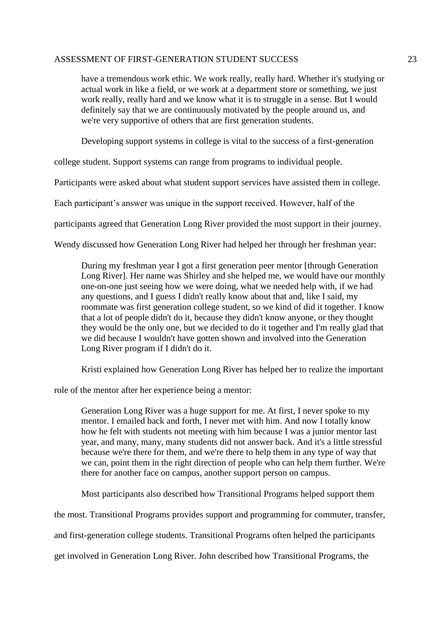have a tremendous work ethic. We work really, really hard. Whether it's studying or actual work in like a field, or we work at a department store or something, we just work really, really hard and we know what it is to struggle in a sense. But I would definitely say that we are continuously motivated by the people around us, and we're very supportive of others that are first generation students.

Developing support systems in college is vital to the success of a first-generation

college student. Support systems can range from programs to individual people.

Participants were asked about what student support services have assisted them in college.

Each participant's answer was unique in the support received. However, half of the

participants agreed that Generation Long River provided the most support in their journey.

Wendy discussed how Generation Long River had helped her through her freshman year:

During my freshman year I got a first generation peer mentor [through Generation Long River]. Her name was Shirley and she helped me, we would have our monthly one-on-one just seeing how we were doing, what we needed help with, if we had any questions, and I guess I didn't really know about that and, like I said, my roommate was first generation college student, so we kind of did it together. I know that a lot of people didn't do it, because they didn't know anyone, or they thought they would be the only one, but we decided to do it together and I'm really glad that we did because I wouldn't have gotten shown and involved into the Generation Long River program if I didn't do it.

Kristi explained how Generation Long River has helped her to realize the important

role of the mentor after her experience being a mentor:

Generation Long River was a huge support for me. At first, I never spoke to my mentor. I emailed back and forth, I never met with him. And now I totally know how he felt with students not meeting with him because I was a junior mentor last year, and many, many, many students did not answer back. And it's a little stressful because we're there for them, and we're there to help them in any type of way that we can, point them in the right direction of people who can help them further. We're there for another face on campus, another support person on campus.

Most participants also described how Transitional Programs helped support them

the most. Transitional Programs provides support and programming for commuter, transfer,

and first-generation college students. Transitional Programs often helped the participants

get involved in Generation Long River. John described how Transitional Programs, the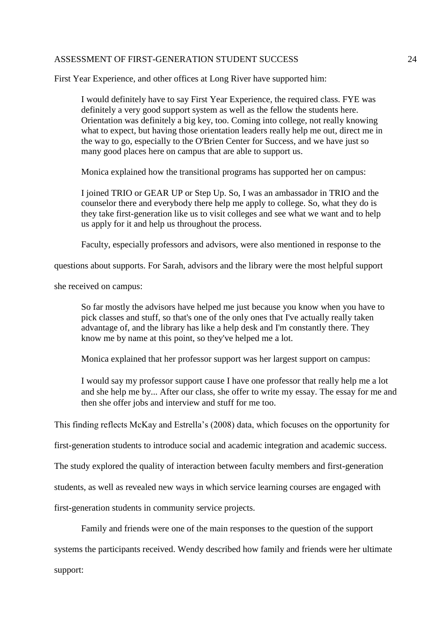First Year Experience, and other offices at Long River have supported him:

I would definitely have to say First Year Experience, the required class. FYE was definitely a very good support system as well as the fellow the students here. Orientation was definitely a big key, too. Coming into college, not really knowing what to expect, but having those orientation leaders really help me out, direct me in the way to go, especially to the O'Brien Center for Success, and we have just so many good places here on campus that are able to support us.

Monica explained how the transitional programs has supported her on campus:

I joined TRIO or GEAR UP or Step Up. So, I was an ambassador in TRIO and the counselor there and everybody there help me apply to college. So, what they do is they take first-generation like us to visit colleges and see what we want and to help us apply for it and help us throughout the process.

Faculty, especially professors and advisors, were also mentioned in response to the

questions about supports. For Sarah, advisors and the library were the most helpful support

she received on campus:

So far mostly the advisors have helped me just because you know when you have to pick classes and stuff, so that's one of the only ones that I've actually really taken advantage of, and the library has like a help desk and I'm constantly there. They know me by name at this point, so they've helped me a lot.

Monica explained that her professor support was her largest support on campus:

I would say my professor support cause I have one professor that really help me a lot and she help me by... After our class, she offer to write my essay. The essay for me and then she offer jobs and interview and stuff for me too.

This finding reflects McKay and Estrella's (2008) data, which focuses on the opportunity for

first-generation students to introduce social and academic integration and academic success.

The study explored the quality of interaction between faculty members and first-generation

students, as well as revealed new ways in which service learning courses are engaged with

first-generation students in community service projects.

Family and friends were one of the main responses to the question of the support

systems the participants received. Wendy described how family and friends were her ultimate

support: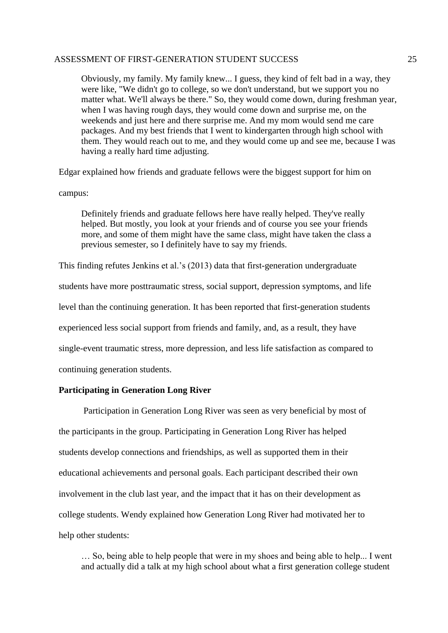Obviously, my family. My family knew... I guess, they kind of felt bad in a way, they were like, "We didn't go to college, so we don't understand, but we support you no matter what. We'll always be there." So, they would come down, during freshman year, when I was having rough days, they would come down and surprise me, on the weekends and just here and there surprise me. And my mom would send me care packages. And my best friends that I went to kindergarten through high school with them. They would reach out to me, and they would come up and see me, because I was having a really hard time adjusting.

Edgar explained how friends and graduate fellows were the biggest support for him on

campus:

Definitely friends and graduate fellows here have really helped. They've really helped. But mostly, you look at your friends and of course you see your friends more, and some of them might have the same class, might have taken the class a previous semester, so I definitely have to say my friends.

This finding refutes Jenkins et al.'s (2013) data that first-generation undergraduate

students have more posttraumatic stress, social support, depression symptoms, and life

level than the continuing generation. It has been reported that first-generation students

experienced less social support from friends and family, and, as a result, they have

single-event traumatic stress, more depression, and less life satisfaction as compared to

continuing generation students.

#### **Participating in Generation Long River**

Participation in Generation Long River was seen as very beneficial by most of the participants in the group. Participating in Generation Long River has helped students develop connections and friendships, as well as supported them in their educational achievements and personal goals. Each participant described their own involvement in the club last year, and the impact that it has on their development as college students. Wendy explained how Generation Long River had motivated her to help other students:

… So, being able to help people that were in my shoes and being able to help... I went and actually did a talk at my high school about what a first generation college student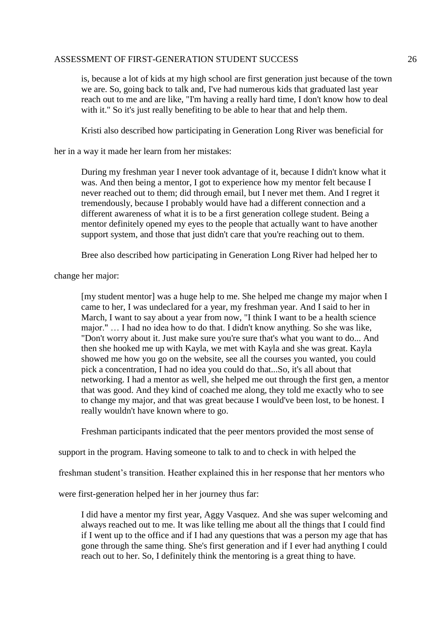is, because a lot of kids at my high school are first generation just because of the town we are. So, going back to talk and, I've had numerous kids that graduated last year reach out to me and are like, "I'm having a really hard time, I don't know how to deal with it." So it's just really benefiting to be able to hear that and help them.

Kristi also described how participating in Generation Long River was beneficial for

her in a way it made her learn from her mistakes:

During my freshman year I never took advantage of it, because I didn't know what it was. And then being a mentor, I got to experience how my mentor felt because I never reached out to them; did through email, but I never met them. And I regret it tremendously, because I probably would have had a different connection and a different awareness of what it is to be a first generation college student. Being a mentor definitely opened my eyes to the people that actually want to have another support system, and those that just didn't care that you're reaching out to them.

Bree also described how participating in Generation Long River had helped her to

change her major:

[my student mentor] was a huge help to me. She helped me change my major when I came to her, I was undeclared for a year, my freshman year. And I said to her in March, I want to say about a year from now, "I think I want to be a health science major." … I had no idea how to do that. I didn't know anything. So she was like, "Don't worry about it. Just make sure you're sure that's what you want to do... And then she hooked me up with Kayla, we met with Kayla and she was great. Kayla showed me how you go on the website, see all the courses you wanted, you could pick a concentration, I had no idea you could do that...So, it's all about that networking. I had a mentor as well, she helped me out through the first gen, a mentor that was good. And they kind of coached me along, they told me exactly who to see to change my major, and that was great because I would've been lost, to be honest. I really wouldn't have known where to go.

Freshman participants indicated that the peer mentors provided the most sense of

support in the program. Having someone to talk to and to check in with helped the

freshman student's transition. Heather explained this in her response that her mentors who

were first-generation helped her in her journey thus far:

I did have a mentor my first year, Aggy Vasquez. And she was super welcoming and always reached out to me. It was like telling me about all the things that I could find if I went up to the office and if I had any questions that was a person my age that has gone through the same thing. She's first generation and if I ever had anything I could reach out to her. So, I definitely think the mentoring is a great thing to have.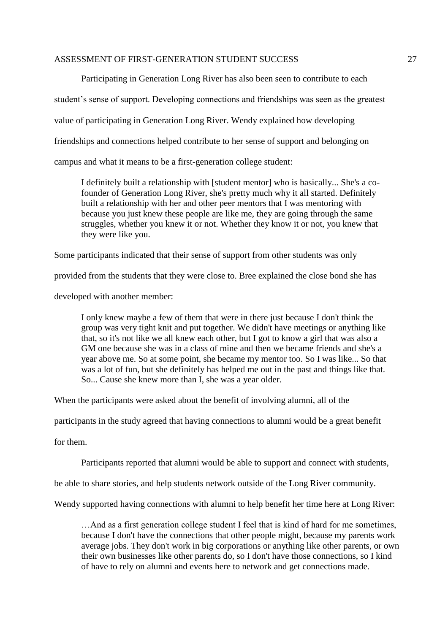Participating in Generation Long River has also been seen to contribute to each student's sense of support. Developing connections and friendships was seen as the greatest value of participating in Generation Long River. Wendy explained how developing friendships and connections helped contribute to her sense of support and belonging on campus and what it means to be a first-generation college student:

I definitely built a relationship with [student mentor] who is basically... She's a cofounder of Generation Long River, she's pretty much why it all started. Definitely built a relationship with her and other peer mentors that I was mentoring with because you just knew these people are like me, they are going through the same struggles, whether you knew it or not. Whether they know it or not, you knew that they were like you.

Some participants indicated that their sense of support from other students was only

provided from the students that they were close to. Bree explained the close bond she has

developed with another member:

I only knew maybe a few of them that were in there just because I don't think the group was very tight knit and put together. We didn't have meetings or anything like that, so it's not like we all knew each other, but I got to know a girl that was also a GM one because she was in a class of mine and then we became friends and she's a year above me. So at some point, she became my mentor too. So I was like... So that was a lot of fun, but she definitely has helped me out in the past and things like that. So... Cause she knew more than I, she was a year older.

When the participants were asked about the benefit of involving alumni, all of the

participants in the study agreed that having connections to alumni would be a great benefit

for them.

Participants reported that alumni would be able to support and connect with students,

be able to share stories, and help students network outside of the Long River community.

Wendy supported having connections with alumni to help benefit her time here at Long River:

…And as a first generation college student I feel that is kind of hard for me sometimes, because I don't have the connections that other people might, because my parents work average jobs. They don't work in big corporations or anything like other parents, or own their own businesses like other parents do, so I don't have those connections, so I kind of have to rely on alumni and events here to network and get connections made.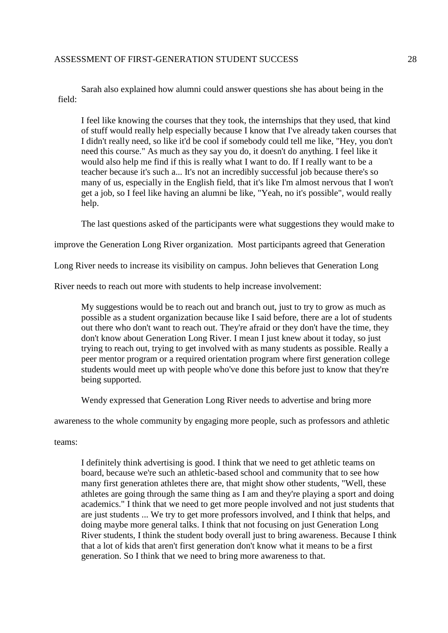Sarah also explained how alumni could answer questions she has about being in the field:

I feel like knowing the courses that they took, the internships that they used, that kind of stuff would really help especially because I know that I've already taken courses that I didn't really need, so like it'd be cool if somebody could tell me like, "Hey, you don't need this course." As much as they say you do, it doesn't do anything. I feel like it would also help me find if this is really what I want to do. If I really want to be a teacher because it's such a... It's not an incredibly successful job because there's so many of us, especially in the English field, that it's like I'm almost nervous that I won't get a job, so I feel like having an alumni be like, "Yeah, no it's possible", would really help.

The last questions asked of the participants were what suggestions they would make to

improve the Generation Long River organization. Most participants agreed that Generation

Long River needs to increase its visibility on campus. John believes that Generation Long

River needs to reach out more with students to help increase involvement:

My suggestions would be to reach out and branch out, just to try to grow as much as possible as a student organization because like I said before, there are a lot of students out there who don't want to reach out. They're afraid or they don't have the time, they don't know about Generation Long River. I mean I just knew about it today, so just trying to reach out, trying to get involved with as many students as possible. Really a peer mentor program or a required orientation program where first generation college students would meet up with people who've done this before just to know that they're being supported.

Wendy expressed that Generation Long River needs to advertise and bring more

awareness to the whole community by engaging more people, such as professors and athletic

teams:

I definitely think advertising is good. I think that we need to get athletic teams on board, because we're such an athletic-based school and community that to see how many first generation athletes there are, that might show other students, "Well, these athletes are going through the same thing as I am and they're playing a sport and doing academics." I think that we need to get more people involved and not just students that are just students ... We try to get more professors involved, and I think that helps, and doing maybe more general talks. I think that not focusing on just Generation Long River students, I think the student body overall just to bring awareness. Because I think that a lot of kids that aren't first generation don't know what it means to be a first generation. So I think that we need to bring more awareness to that.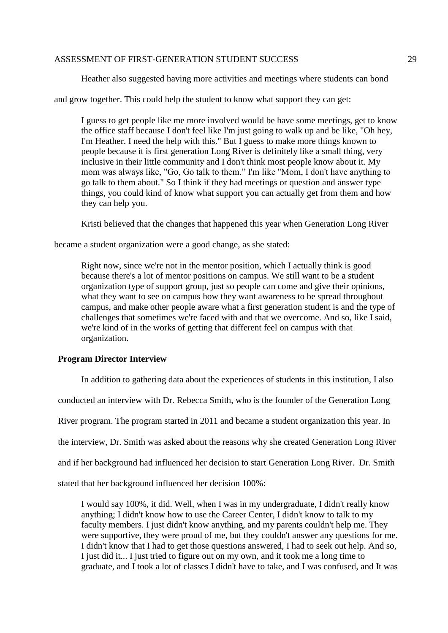Heather also suggested having more activities and meetings where students can bond

and grow together. This could help the student to know what support they can get:

I guess to get people like me more involved would be have some meetings, get to know the office staff because I don't feel like I'm just going to walk up and be like, "Oh hey, I'm Heather. I need the help with this." But I guess to make more things known to people because it is first generation Long River is definitely like a small thing, very inclusive in their little community and I don't think most people know about it. My mom was always like, "Go, Go talk to them." I'm like "Mom, I don't have anything to go talk to them about." So I think if they had meetings or question and answer type things, you could kind of know what support you can actually get from them and how they can help you.

Kristi believed that the changes that happened this year when Generation Long River

became a student organization were a good change, as she stated:

Right now, since we're not in the mentor position, which I actually think is good because there's a lot of mentor positions on campus. We still want to be a student organization type of support group, just so people can come and give their opinions, what they want to see on campus how they want awareness to be spread throughout campus, and make other people aware what a first generation student is and the type of challenges that sometimes we're faced with and that we overcome. And so, like I said, we're kind of in the works of getting that different feel on campus with that organization.

### **Program Director Interview**

In addition to gathering data about the experiences of students in this institution, I also

conducted an interview with Dr. Rebecca Smith, who is the founder of the Generation Long

River program. The program started in 2011 and became a student organization this year. In

the interview, Dr. Smith was asked about the reasons why she created Generation Long River

and if her background had influenced her decision to start Generation Long River. Dr. Smith

stated that her background influenced her decision 100%:

I would say 100%, it did. Well, when I was in my undergraduate, I didn't really know anything; I didn't know how to use the Career Center, I didn't know to talk to my faculty members. I just didn't know anything, and my parents couldn't help me. They were supportive, they were proud of me, but they couldn't answer any questions for me. I didn't know that I had to get those questions answered, I had to seek out help. And so, I just did it... I just tried to figure out on my own, and it took me a long time to graduate, and I took a lot of classes I didn't have to take, and I was confused, and It was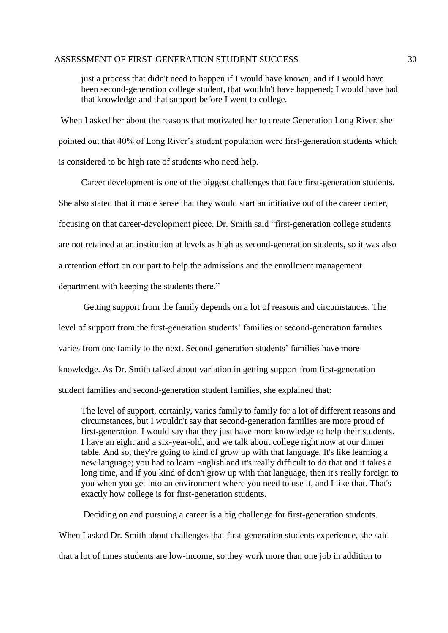just a process that didn't need to happen if I would have known, and if I would have been second-generation college student, that wouldn't have happened; I would have had that knowledge and that support before I went to college.

When I asked her about the reasons that motivated her to create Generation Long River, she pointed out that 40% of Long River's student population were first-generation students which is considered to be high rate of students who need help.

Career development is one of the biggest challenges that face first-generation students. She also stated that it made sense that they would start an initiative out of the career center, focusing on that career-development piece. Dr. Smith said "first-generation college students are not retained at an institution at levels as high as second-generation students, so it was also a retention effort on our part to help the admissions and the enrollment management department with keeping the students there."

Getting support from the family depends on a lot of reasons and circumstances. The level of support from the first-generation students' families or second-generation families varies from one family to the next. Second-generation students' families have more knowledge. As Dr. Smith talked about variation in getting support from first-generation student families and second-generation student families, she explained that:

The level of support, certainly, varies family to family for a lot of different reasons and circumstances, but I wouldn't say that second-generation families are more proud of first-generation. I would say that they just have more knowledge to help their students. I have an eight and a six-year-old, and we talk about college right now at our dinner table. And so, they're going to kind of grow up with that language. It's like learning a new language; you had to learn English and it's really difficult to do that and it takes a long time, and if you kind of don't grow up with that language, then it's really foreign to you when you get into an environment where you need to use it, and I like that. That's exactly how college is for first-generation students.

 Deciding on and pursuing a career is a big challenge for first-generation students. When I asked Dr. Smith about challenges that first-generation students experience, she said that a lot of times students are low-income, so they work more than one job in addition to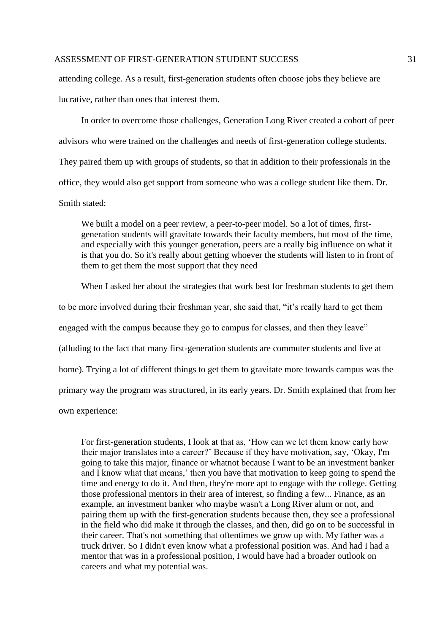attending college. As a result, first-generation students often choose jobs they believe are lucrative, rather than ones that interest them.

 In order to overcome those challenges, Generation Long River created a cohort of peer advisors who were trained on the challenges and needs of first-generation college students. They paired them up with groups of students, so that in addition to their professionals in the office, they would also get support from someone who was a college student like them. Dr. Smith stated:

We built a model on a peer review, a peer-to-peer model. So a lot of times, firstgeneration students will gravitate towards their faculty members, but most of the time, and especially with this younger generation, peers are a really big influence on what it is that you do. So it's really about getting whoever the students will listen to in front of them to get them the most support that they need

When I asked her about the strategies that work best for freshman students to get them to be more involved during their freshman year, she said that, "it's really hard to get them engaged with the campus because they go to campus for classes, and then they leave" (alluding to the fact that many first-generation students are commuter students and live at home). Trying a lot of different things to get them to gravitate more towards campus was the primary way the program was structured, in its early years. Dr. Smith explained that from her

own experience:

For first-generation students, I look at that as, 'How can we let them know early how their major translates into a career?' Because if they have motivation, say, 'Okay, I'm going to take this major, finance or whatnot because I want to be an investment banker and I know what that means,' then you have that motivation to keep going to spend the time and energy to do it. And then, they're more apt to engage with the college. Getting those professional mentors in their area of interest, so finding a few... Finance, as an example, an investment banker who maybe wasn't a Long River alum or not, and pairing them up with the first-generation students because then, they see a professional in the field who did make it through the classes, and then, did go on to be successful in their career. That's not something that oftentimes we grow up with. My father was a truck driver. So I didn't even know what a professional position was. And had I had a mentor that was in a professional position, I would have had a broader outlook on careers and what my potential was.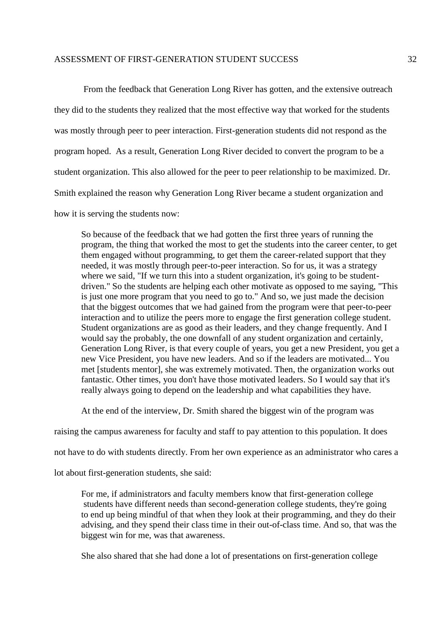From the feedback that Generation Long River has gotten, and the extensive outreach they did to the students they realized that the most effective way that worked for the students was mostly through peer to peer interaction. First-generation students did not respond as the program hoped. As a result, Generation Long River decided to convert the program to be a student organization. This also allowed for the peer to peer relationship to be maximized. Dr. Smith explained the reason why Generation Long River became a student organization and how it is serving the students now:

So because of the feedback that we had gotten the first three years of running the program, the thing that worked the most to get the students into the career center, to get them engaged without programming, to get them the career-related support that they needed, it was mostly through peer-to-peer interaction. So for us, it was a strategy where we said. "If we turn this into a student organization, it's going to be studentdriven." So the students are helping each other motivate as opposed to me saying, "This is just one more program that you need to go to." And so, we just made the decision that the biggest outcomes that we had gained from the program were that peer-to-peer interaction and to utilize the peers more to engage the first generation college student. Student organizations are as good as their leaders, and they change frequently. And I would say the probably, the one downfall of any student organization and certainly, Generation Long River, is that every couple of years, you get a new President, you get a new Vice President, you have new leaders. And so if the leaders are motivated... You met [students mentor], she was extremely motivated. Then, the organization works out fantastic. Other times, you don't have those motivated leaders. So I would say that it's really always going to depend on the leadership and what capabilities they have.

At the end of the interview, Dr. Smith shared the biggest win of the program was

raising the campus awareness for faculty and staff to pay attention to this population. It does

not have to do with students directly. From her own experience as an administrator who cares a

lot about first-generation students, she said:

For me, if administrators and faculty members know that first-generation college students have different needs than second-generation college students, they're going to end up being mindful of that when they look at their programming, and they do their advising, and they spend their class time in their out-of-class time. And so, that was the biggest win for me, was that awareness.

She also shared that she had done a lot of presentations on first-generation college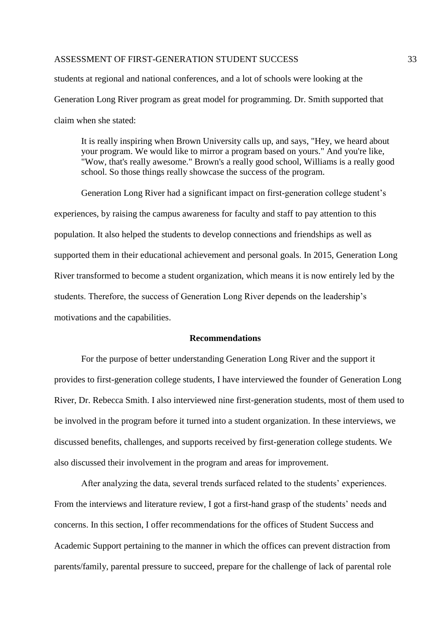students at regional and national conferences, and a lot of schools were looking at the Generation Long River program as great model for programming. Dr. Smith supported that claim when she stated:

It is really inspiring when Brown University calls up, and says, "Hey, we heard about your program. We would like to mirror a program based on yours." And you're like, "Wow, that's really awesome." Brown's a really good school, Williams is a really good school. So those things really showcase the success of the program.

Generation Long River had a significant impact on first-generation college student's experiences, by raising the campus awareness for faculty and staff to pay attention to this population. It also helped the students to develop connections and friendships as well as supported them in their educational achievement and personal goals. In 2015, Generation Long River transformed to become a student organization, which means it is now entirely led by the students. Therefore, the success of Generation Long River depends on the leadership's motivations and the capabilities.

#### **Recommendations**

For the purpose of better understanding Generation Long River and the support it provides to first-generation college students, I have interviewed the founder of Generation Long River, Dr. Rebecca Smith. I also interviewed nine first-generation students, most of them used to be involved in the program before it turned into a student organization. In these interviews, we discussed benefits, challenges, and supports received by first-generation college students. We also discussed their involvement in the program and areas for improvement.

After analyzing the data, several trends surfaced related to the students' experiences. From the interviews and literature review, I got a first-hand grasp of the students' needs and concerns. In this section, I offer recommendations for the offices of Student Success and Academic Support pertaining to the manner in which the offices can prevent distraction from parents/family, parental pressure to succeed, prepare for the challenge of lack of parental role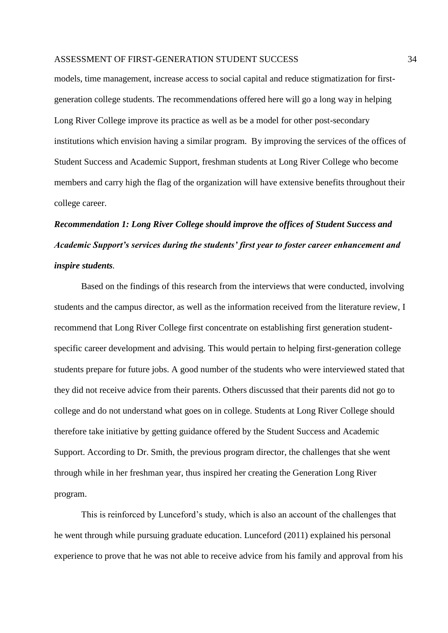models, time management, increase access to social capital and reduce stigmatization for firstgeneration college students. The recommendations offered here will go a long way in helping Long River College improve its practice as well as be a model for other post-secondary institutions which envision having a similar program. By improving the services of the offices of Student Success and Academic Support, freshman students at Long River College who become members and carry high the flag of the organization will have extensive benefits throughout their college career.

# *Recommendation 1: Long River College should improve the offices of Student Success and Academic Support's services during the students' first year to foster career enhancement and inspire students.*

Based on the findings of this research from the interviews that were conducted, involving students and the campus director, as well as the information received from the literature review, I recommend that Long River College first concentrate on establishing first generation studentspecific career development and advising. This would pertain to helping first-generation college students prepare for future jobs. A good number of the students who were interviewed stated that they did not receive advice from their parents. Others discussed that their parents did not go to college and do not understand what goes on in college. Students at Long River College should therefore take initiative by getting guidance offered by the Student Success and Academic Support. According to Dr. Smith, the previous program director, the challenges that she went through while in her freshman year, thus inspired her creating the Generation Long River program.

This is reinforced by Lunceford's study, which is also an account of the challenges that he went through while pursuing graduate education. Lunceford (2011) explained his personal experience to prove that he was not able to receive advice from his family and approval from his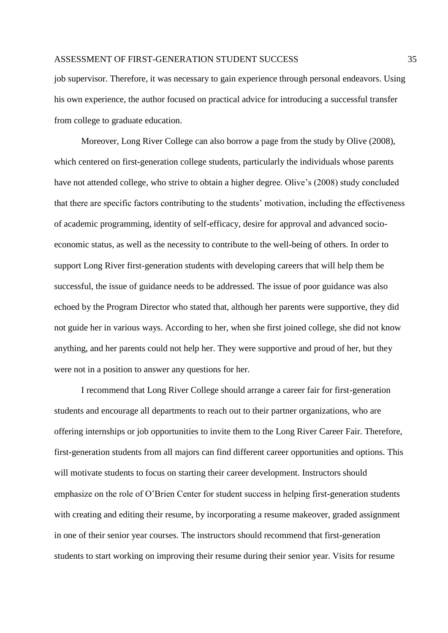job supervisor. Therefore, it was necessary to gain experience through personal endeavors. Using his own experience, the author focused on practical advice for introducing a successful transfer from college to graduate education.

Moreover, Long River College can also borrow a page from the study by Olive (2008), which centered on first-generation college students, particularly the individuals whose parents have not attended college, who strive to obtain a higher degree. Olive's (2008) study concluded that there are specific factors contributing to the students' motivation, including the effectiveness of academic programming, identity of self-efficacy, desire for approval and advanced socioeconomic status, as well as the necessity to contribute to the well-being of others. In order to support Long River first-generation students with developing careers that will help them be successful, the issue of guidance needs to be addressed. The issue of poor guidance was also echoed by the Program Director who stated that, although her parents were supportive, they did not guide her in various ways. According to her, when she first joined college, she did not know anything, and her parents could not help her. They were supportive and proud of her, but they were not in a position to answer any questions for her.

I recommend that Long River College should arrange a career fair for first-generation students and encourage all departments to reach out to their partner organizations, who are offering internships or job opportunities to invite them to the Long River Career Fair. Therefore, first-generation students from all majors can find different career opportunities and options. This will motivate students to focus on starting their career development. Instructors should emphasize on the role of O'Brien Center for student success in helping first-generation students with creating and editing their resume, by incorporating a resume makeover, graded assignment in one of their senior year courses. The instructors should recommend that first-generation students to start working on improving their resume during their senior year. Visits for resume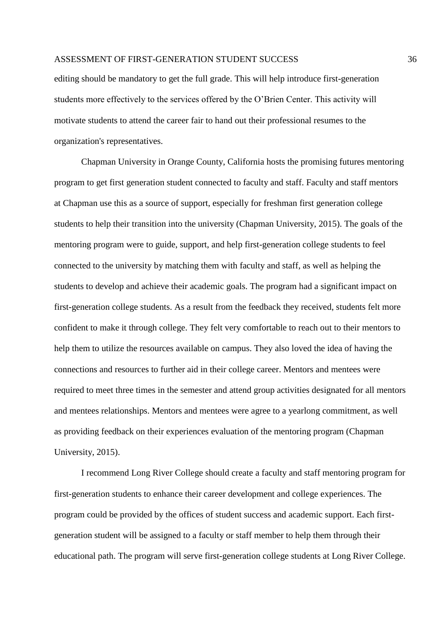editing should be mandatory to get the full grade. This will help introduce first-generation students more effectively to the services offered by the O'Brien Center. This activity will motivate students to attend the career fair to hand out their professional resumes to the organization's representatives.

Chapman University in Orange County, California hosts the promising futures mentoring program to get first generation student connected to faculty and staff. Faculty and staff mentors at Chapman use this as a source of support, especially for freshman first generation college students to help their transition into the university (Chapman University, 2015). The goals of the mentoring program were to guide, support, and help first-generation college students to feel connected to the university by matching them with faculty and staff, as well as helping the students to develop and achieve their academic goals. The program had a significant impact on first-generation college students. As a result from the feedback they received, students felt more confident to make it through college. They felt very comfortable to reach out to their mentors to help them to utilize the resources available on campus. They also loved the idea of having the connections and resources to further aid in their college career. Mentors and mentees were required to meet three times in the semester and attend group activities designated for all mentors and mentees relationships. Mentors and mentees were agree to a yearlong commitment, as well as providing feedback on their experiences evaluation of the mentoring program (Chapman University, 2015).

 I recommend Long River College should create a faculty and staff mentoring program for first-generation students to enhance their career development and college experiences. The program could be provided by the offices of student success and academic support. Each firstgeneration student will be assigned to a faculty or staff member to help them through their educational path. The program will serve first-generation college students at Long River College.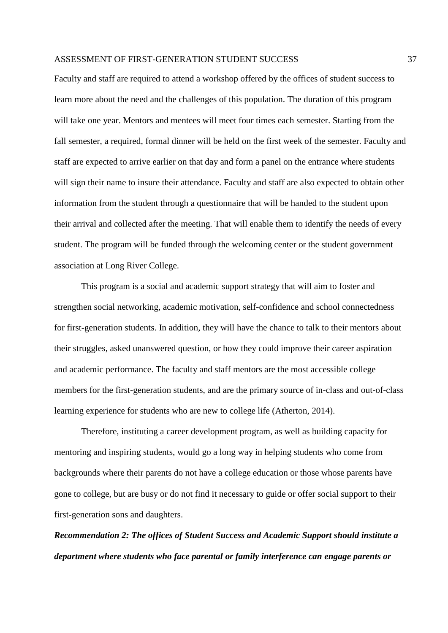Faculty and staff are required to attend a workshop offered by the offices of student success to learn more about the need and the challenges of this population. The duration of this program will take one year. Mentors and mentees will meet four times each semester. Starting from the fall semester, a required, formal dinner will be held on the first week of the semester. Faculty and staff are expected to arrive earlier on that day and form a panel on the entrance where students will sign their name to insure their attendance. Faculty and staff are also expected to obtain other information from the student through a questionnaire that will be handed to the student upon their arrival and collected after the meeting. That will enable them to identify the needs of every student. The program will be funded through the welcoming center or the student government association at Long River College.

This program is a social and academic support strategy that will aim to foster and strengthen social networking, academic motivation, self-confidence and school connectedness for first-generation students. In addition, they will have the chance to talk to their mentors about their struggles, asked unanswered question, or how they could improve their career aspiration and academic performance. The faculty and staff mentors are the most accessible college members for the first-generation students, and are the primary source of in-class and out-of-class learning experience for students who are new to college life (Atherton, 2014).

Therefore, instituting a career development program, as well as building capacity for mentoring and inspiring students, would go a long way in helping students who come from backgrounds where their parents do not have a college education or those whose parents have gone to college, but are busy or do not find it necessary to guide or offer social support to their first-generation sons and daughters.

*Recommendation 2: The offices of Student Success and Academic Support should institute a department where students who face parental or family interference can engage parents or*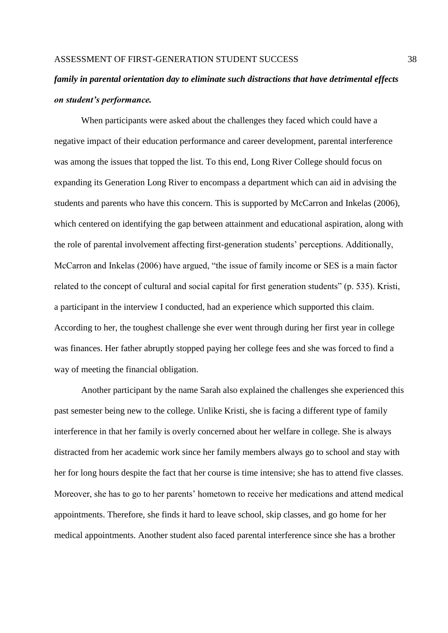## *family in parental orientation day to eliminate such distractions that have detrimental effects on student's performance.*

When participants were asked about the challenges they faced which could have a negative impact of their education performance and career development, parental interference was among the issues that topped the list. To this end, Long River College should focus on expanding its Generation Long River to encompass a department which can aid in advising the students and parents who have this concern. This is supported by McCarron and Inkelas (2006), which centered on identifying the gap between attainment and educational aspiration, along with the role of parental involvement affecting first-generation students' perceptions. Additionally, McCarron and Inkelas (2006) have argued, "the issue of family income or SES is a main factor related to the concept of cultural and social capital for first generation students" (p. 535). Kristi, a participant in the interview I conducted, had an experience which supported this claim. According to her, the toughest challenge she ever went through during her first year in college was finances. Her father abruptly stopped paying her college fees and she was forced to find a way of meeting the financial obligation.

Another participant by the name Sarah also explained the challenges she experienced this past semester being new to the college. Unlike Kristi, she is facing a different type of family interference in that her family is overly concerned about her welfare in college. She is always distracted from her academic work since her family members always go to school and stay with her for long hours despite the fact that her course is time intensive; she has to attend five classes. Moreover, she has to go to her parents' hometown to receive her medications and attend medical appointments. Therefore, she finds it hard to leave school, skip classes, and go home for her medical appointments. Another student also faced parental interference since she has a brother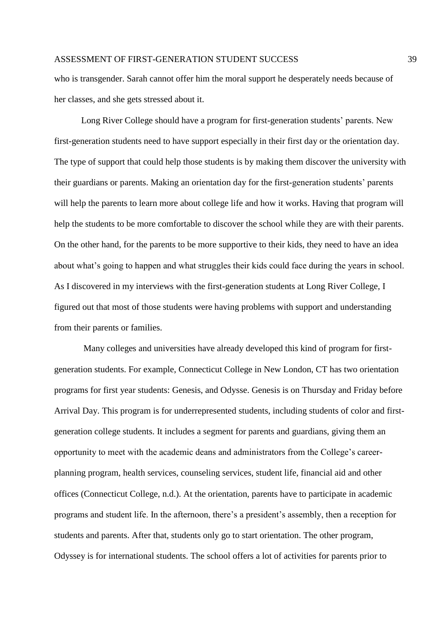who is transgender. Sarah cannot offer him the moral support he desperately needs because of her classes, and she gets stressed about it.

Long River College should have a program for first-generation students' parents. New first-generation students need to have support especially in their first day or the orientation day. The type of support that could help those students is by making them discover the university with their guardians or parents. Making an orientation day for the first-generation students' parents will help the parents to learn more about college life and how it works. Having that program will help the students to be more comfortable to discover the school while they are with their parents. On the other hand, for the parents to be more supportive to their kids, they need to have an idea about what's going to happen and what struggles their kids could face during the years in school. As I discovered in my interviews with the first-generation students at Long River College, I figured out that most of those students were having problems with support and understanding from their parents or families.

Many colleges and universities have already developed this kind of program for firstgeneration students. For example, Connecticut College in New London, CT has two orientation programs for first year students: Genesis, and Odysse. Genesis is on Thursday and Friday before Arrival Day. This program is for underrepresented students, including students of color and firstgeneration college students. It includes a segment for parents and guardians, giving them an opportunity to meet with the academic deans and administrators from the College's careerplanning program, health services, counseling services, student life, financial aid and other offices (Connecticut College, n.d.). At the orientation, parents have to participate in academic programs and student life. In the afternoon, there's a president's assembly, then a reception for students and parents. After that, students only go to start orientation. The other program, Odyssey is for international students. The school offers a lot of activities for parents prior to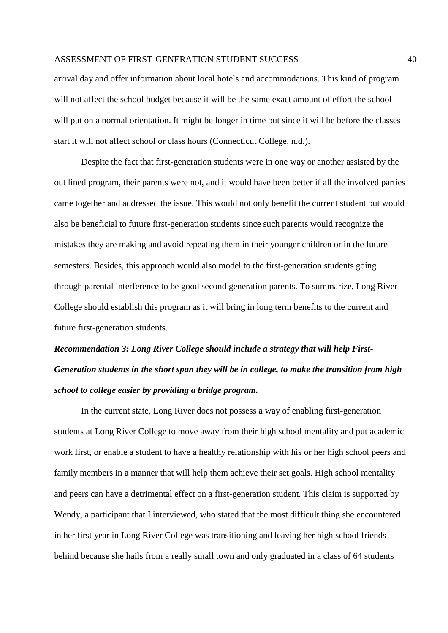arrival day and offer information about local hotels and accommodations. This kind of program will not affect the school budget because it will be the same exact amount of effort the school will put on a normal orientation. It might be longer in time but since it will be before the classes start it will not affect school or class hours (Connecticut College, n.d.).

 Despite the fact that first-generation students were in one way or another assisted by the out lined program, their parents were not, and it would have been better if all the involved parties came together and addressed the issue. This would not only benefit the current student but would also be beneficial to future first-generation students since such parents would recognize the mistakes they are making and avoid repeating them in their younger children or in the future semesters. Besides, this approach would also model to the first-generation students going through parental interference to be good second generation parents. To summarize, Long River College should establish this program as it will bring in long term benefits to the current and future first-generation students.

# *Recommendation 3: Long River College should include a strategy that will help First-Generation students in the short span they will be in college, to make the transition from high school to college easier by providing a bridge program.*

In the current state, Long River does not possess a way of enabling first-generation students at Long River College to move away from their high school mentality and put academic work first, or enable a student to have a healthy relationship with his or her high school peers and family members in a manner that will help them achieve their set goals. High school mentality and peers can have a detrimental effect on a first-generation student. This claim is supported by Wendy, a participant that I interviewed, who stated that the most difficult thing she encountered in her first year in Long River College was transitioning and leaving her high school friends behind because she hails from a really small town and only graduated in a class of 64 students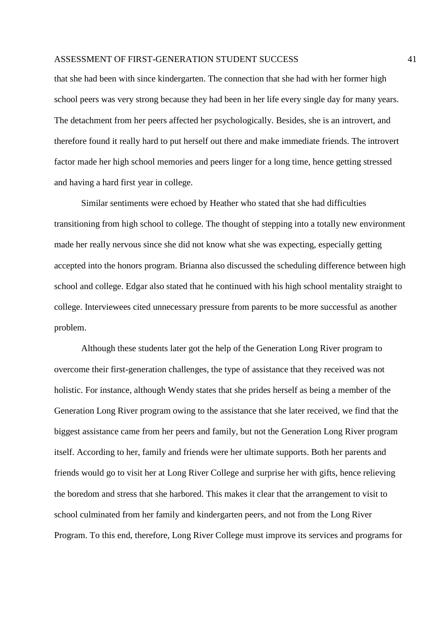that she had been with since kindergarten. The connection that she had with her former high school peers was very strong because they had been in her life every single day for many years. The detachment from her peers affected her psychologically. Besides, she is an introvert, and therefore found it really hard to put herself out there and make immediate friends. The introvert factor made her high school memories and peers linger for a long time, hence getting stressed and having a hard first year in college.

Similar sentiments were echoed by Heather who stated that she had difficulties transitioning from high school to college. The thought of stepping into a totally new environment made her really nervous since she did not know what she was expecting, especially getting accepted into the honors program. Brianna also discussed the scheduling difference between high school and college. Edgar also stated that he continued with his high school mentality straight to college. Interviewees cited unnecessary pressure from parents to be more successful as another problem.

Although these students later got the help of the Generation Long River program to overcome their first-generation challenges, the type of assistance that they received was not holistic. For instance, although Wendy states that she prides herself as being a member of the Generation Long River program owing to the assistance that she later received, we find that the biggest assistance came from her peers and family, but not the Generation Long River program itself. According to her, family and friends were her ultimate supports. Both her parents and friends would go to visit her at Long River College and surprise her with gifts, hence relieving the boredom and stress that she harbored. This makes it clear that the arrangement to visit to school culminated from her family and kindergarten peers, and not from the Long River Program. To this end, therefore, Long River College must improve its services and programs for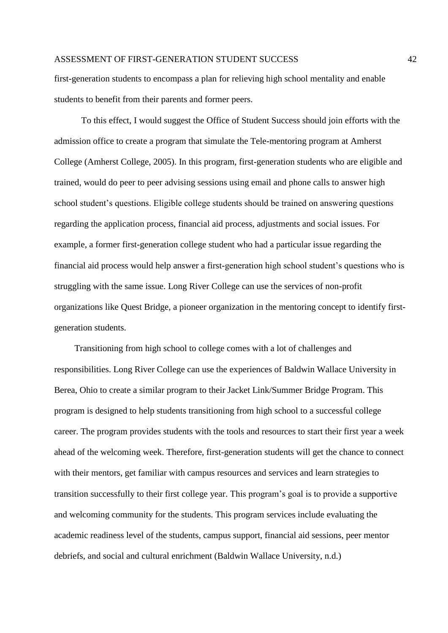first-generation students to encompass a plan for relieving high school mentality and enable students to benefit from their parents and former peers.

To this effect, I would suggest the Office of Student Success should join efforts with the admission office to create a program that simulate the Tele-mentoring program at Amherst College (Amherst College, 2005). In this program, first-generation students who are eligible and trained, would do peer to peer advising sessions using email and phone calls to answer high school student's questions. Eligible college students should be trained on answering questions regarding the application process, financial aid process, adjustments and social issues. For example, a former first-generation college student who had a particular issue regarding the financial aid process would help answer a first-generation high school student's questions who is struggling with the same issue. Long River College can use the services of non-profit organizations like Quest Bridge, a pioneer organization in the mentoring concept to identify firstgeneration students.

 Transitioning from high school to college comes with a lot of challenges and responsibilities. Long River College can use the experiences of Baldwin Wallace University in Berea, Ohio to create a similar program to their Jacket Link/Summer Bridge Program. This program is designed to help students transitioning from high school to a successful college career. The program provides students with the tools and resources to start their first year a week ahead of the welcoming week. Therefore, first-generation students will get the chance to connect with their mentors, get familiar with campus resources and services and learn strategies to transition successfully to their first college year. This program's goal is to provide a supportive and welcoming community for the students. This program services include evaluating the academic readiness level of the students, campus support, financial aid sessions, peer mentor debriefs, and social and cultural enrichment (Baldwin Wallace University, n.d.)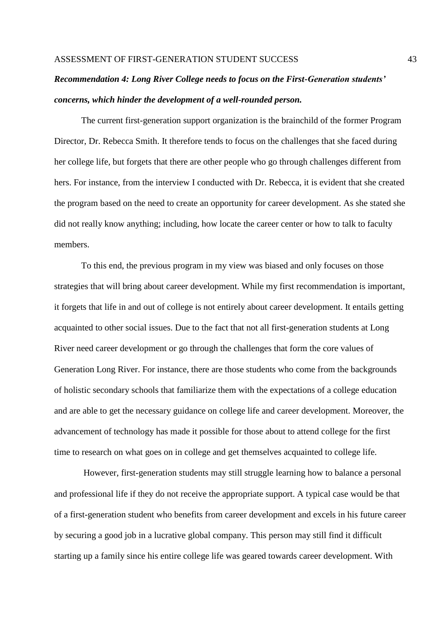## *Recommendation 4: Long River College needs to focus on the First-Generation students' concerns, which hinder the development of a well-rounded person.*

The current first-generation support organization is the brainchild of the former Program Director, Dr. Rebecca Smith. It therefore tends to focus on the challenges that she faced during her college life, but forgets that there are other people who go through challenges different from hers. For instance, from the interview I conducted with Dr. Rebecca, it is evident that she created the program based on the need to create an opportunity for career development. As she stated she did not really know anything; including, how locate the career center or how to talk to faculty members.

To this end, the previous program in my view was biased and only focuses on those strategies that will bring about career development. While my first recommendation is important, it forgets that life in and out of college is not entirely about career development. It entails getting acquainted to other social issues. Due to the fact that not all first-generation students at Long River need career development or go through the challenges that form the core values of Generation Long River. For instance, there are those students who come from the backgrounds of holistic secondary schools that familiarize them with the expectations of a college education and are able to get the necessary guidance on college life and career development. Moreover, the advancement of technology has made it possible for those about to attend college for the first time to research on what goes on in college and get themselves acquainted to college life.

However, first-generation students may still struggle learning how to balance a personal and professional life if they do not receive the appropriate support. A typical case would be that of a first-generation student who benefits from career development and excels in his future career by securing a good job in a lucrative global company. This person may still find it difficult starting up a family since his entire college life was geared towards career development. With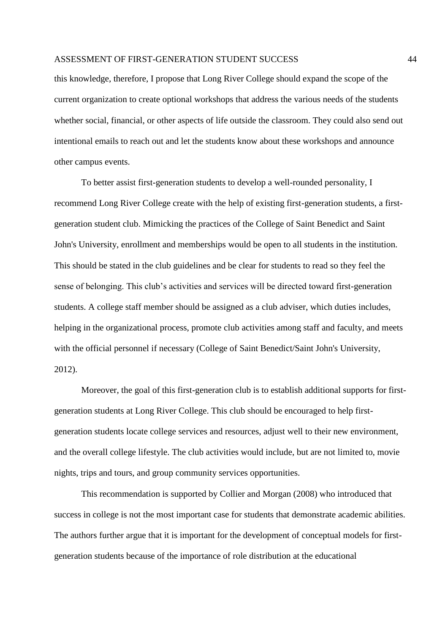this knowledge, therefore, I propose that Long River College should expand the scope of the current organization to create optional workshops that address the various needs of the students whether social, financial, or other aspects of life outside the classroom. They could also send out intentional emails to reach out and let the students know about these workshops and announce other campus events.

To better assist first-generation students to develop a well-rounded personality, I recommend Long River College create with the help of existing first-generation students, a firstgeneration student club. Mimicking the practices of the College of Saint Benedict and Saint John's University, enrollment and memberships would be open to all students in the institution. This should be stated in the club guidelines and be clear for students to read so they feel the sense of belonging. This club's activities and services will be directed toward first-generation students. A college staff member should be assigned as a club adviser, which duties includes, helping in the organizational process, promote club activities among staff and faculty, and meets with the official personnel if necessary (College of Saint Benedict/Saint John's University, 2012).

Moreover, the goal of this first-generation club is to establish additional supports for firstgeneration students at Long River College. This club should be encouraged to help firstgeneration students locate college services and resources, adjust well to their new environment, and the overall college lifestyle. The club activities would include, but are not limited to, movie nights, trips and tours, and group community services opportunities.

 This recommendation is supported by Collier and Morgan (2008) who introduced that success in college is not the most important case for students that demonstrate academic abilities. The authors further argue that it is important for the development of conceptual models for firstgeneration students because of the importance of role distribution at the educational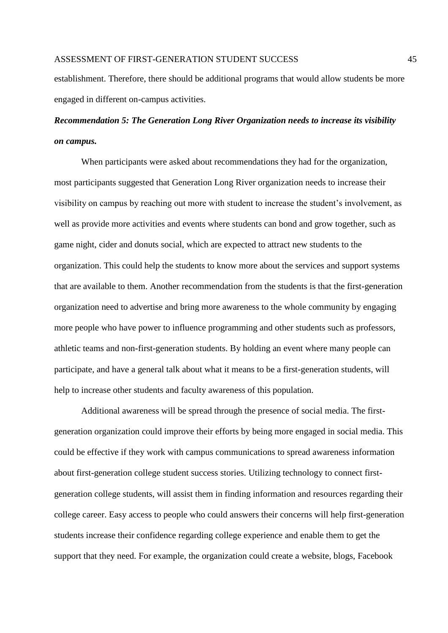establishment. Therefore, there should be additional programs that would allow students be more engaged in different on-campus activities.

## *Recommendation 5: The Generation Long River Organization needs to increase its visibility on campus.*

When participants were asked about recommendations they had for the organization, most participants suggested that Generation Long River organization needs to increase their visibility on campus by reaching out more with student to increase the student's involvement, as well as provide more activities and events where students can bond and grow together, such as game night, cider and donuts social, which are expected to attract new students to the organization. This could help the students to know more about the services and support systems that are available to them. Another recommendation from the students is that the first-generation organization need to advertise and bring more awareness to the whole community by engaging more people who have power to influence programming and other students such as professors, athletic teams and non-first-generation students. By holding an event where many people can participate, and have a general talk about what it means to be a first-generation students, will help to increase other students and faculty awareness of this population.

Additional awareness will be spread through the presence of social media. The firstgeneration organization could improve their efforts by being more engaged in social media. This could be effective if they work with campus communications to spread awareness information about first-generation college student success stories. Utilizing technology to connect firstgeneration college students, will assist them in finding information and resources regarding their college career. Easy access to people who could answers their concerns will help first-generation students increase their confidence regarding college experience and enable them to get the support that they need. For example, the organization could create a website, blogs, Facebook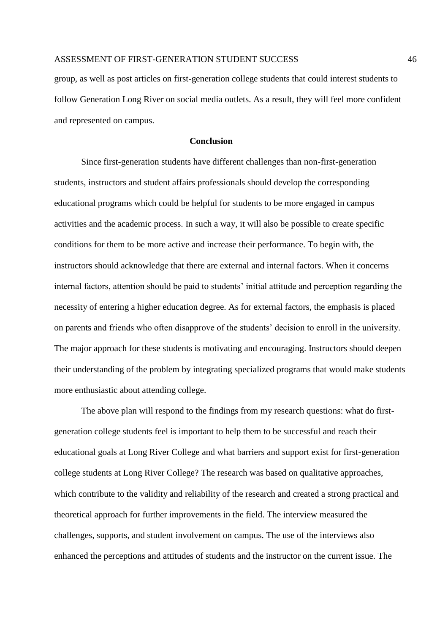group, as well as post articles on first-generation college students that could interest students to follow Generation Long River on social media outlets. As a result, they will feel more confident and represented on campus.

#### **Conclusion**

Since first-generation students have different challenges than non-first-generation students, instructors and student affairs professionals should develop the corresponding educational programs which could be helpful for students to be more engaged in campus activities and the academic process. In such a way, it will also be possible to create specific conditions for them to be more active and increase their performance. To begin with, the instructors should acknowledge that there are external and internal factors. When it concerns internal factors, attention should be paid to students' initial attitude and perception regarding the necessity of entering a higher education degree. As for external factors, the emphasis is placed on parents and friends who often disapprove of the students' decision to enroll in the university. The major approach for these students is motivating and encouraging. Instructors should deepen their understanding of the problem by integrating specialized programs that would make students more enthusiastic about attending college.

The above plan will respond to the findings from my research questions: what do firstgeneration college students feel is important to help them to be successful and reach their educational goals at Long River College and what barriers and support exist for first-generation college students at Long River College? The research was based on qualitative approaches, which contribute to the validity and reliability of the research and created a strong practical and theoretical approach for further improvements in the field. The interview measured the challenges, supports, and student involvement on campus. The use of the interviews also enhanced the perceptions and attitudes of students and the instructor on the current issue. The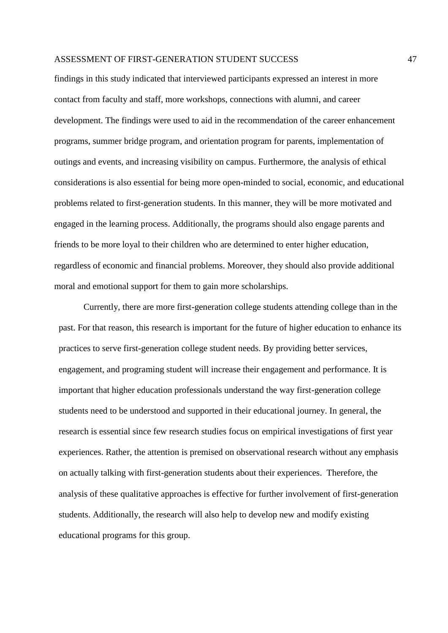findings in this study indicated that interviewed participants expressed an interest in more contact from faculty and staff, more workshops, connections with alumni, and career development. The findings were used to aid in the recommendation of the career enhancement programs, summer bridge program, and orientation program for parents, implementation of outings and events, and increasing visibility on campus. Furthermore, the analysis of ethical considerations is also essential for being more open-minded to social, economic, and educational problems related to first-generation students. In this manner, they will be more motivated and engaged in the learning process. Additionally, the programs should also engage parents and friends to be more loyal to their children who are determined to enter higher education, regardless of economic and financial problems. Moreover, they should also provide additional moral and emotional support for them to gain more scholarships.

Currently, there are more first-generation college students attending college than in the past. For that reason, this research is important for the future of higher education to enhance its practices to serve first-generation college student needs. By providing better services, engagement, and programing student will increase their engagement and performance. It is important that higher education professionals understand the way first-generation college students need to be understood and supported in their educational journey. In general, the research is essential since few research studies focus on empirical investigations of first year experiences. Rather, the attention is premised on observational research without any emphasis on actually talking with first-generation students about their experiences. Therefore, the analysis of these qualitative approaches is effective for further involvement of first-generation students. Additionally, the research will also help to develop new and modify existing educational programs for this group.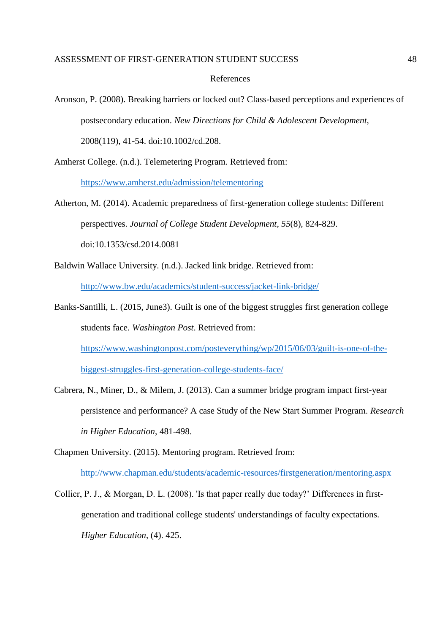#### References

Aronson, P. (2008). Breaking barriers or locked out? Class-based perceptions and experiences of postsecondary education. *New Directions for Child & Adolescent Development,* 2008(119), 41-54. doi:10.1002/cd.208.

Amherst College. (n.d.). Telemetering Program. Retrieved from:

<https://www.amherst.edu/admission/telementoring>

- Atherton, M. (2014). Academic preparedness of first-generation college students: Different perspectives. *Journal of College Student Development*, *55*(8), 824-829. doi:10.1353/csd.2014.0081
- Baldwin Wallace University. (n.d.). Jacked link bridge. Retrieved from:

<http://www.bw.edu/academics/student-success/jacket-link-bridge/>

Banks-Santilli, L. (2015, June3). Guilt is one of the biggest struggles first generation college students face. *Washington Post*. Retrieved from:

[https://www.washingtonpost.com/posteverything/wp/2015/06/03/guilt-is-one-of-the-](https://www.washingtonpost.com/posteverything/wp/2015/06/03/guilt-is-one-of-the-biggest-struggles-first-generation-college-students-face/)

[biggest-struggles-first-generation-college-students-face/](https://www.washingtonpost.com/posteverything/wp/2015/06/03/guilt-is-one-of-the-biggest-struggles-first-generation-college-students-face/)

- Cabrera, N., Miner, D., & Milem, J. (2013). Can a summer bridge program impact first-year persistence and performance? A case Study of the New Start Summer Program. *Research in Higher Education*, 481-498.
- Chapmen University. (2015). Mentoring program. Retrieved from:

<http://www.chapman.edu/students/academic-resources/firstgeneration/mentoring.aspx>

Collier, P. J., & Morgan, D. L. (2008). 'Is that paper really due today?' Differences in firstgeneration and traditional college students' understandings of faculty expectations. *Higher Education*, (4). 425.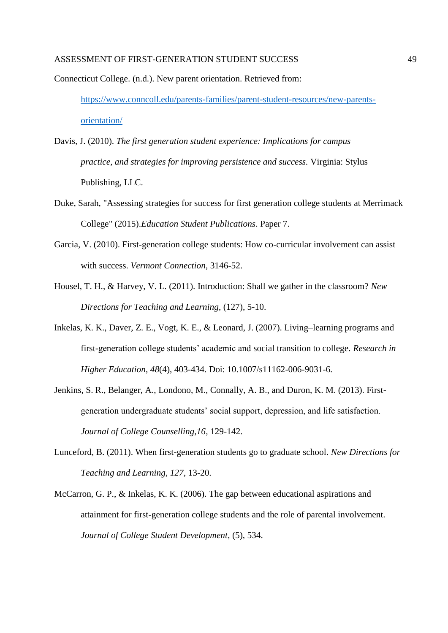Connecticut College. (n.d.). New parent orientation. Retrieved from: [https://www.conncoll.edu/parents-families/parent-student-resources/new-parents](https://www.conncoll.edu/parents-families/parent-student-resources/new-parents-orientation/)[orientation/](https://www.conncoll.edu/parents-families/parent-student-resources/new-parents-orientation/)

Davis, J. (2010). *The first generation student experience: Implications for campus practice, and strategies for improving persistence and success.* Virginia: Stylus Publishing, LLC.

- Duke, Sarah, "Assessing strategies for success for first generation college students at Merrimack College" (2015).*Education Student Publications*. Paper 7.
- Garcia, V. (2010). First-generation college students: How co-curricular involvement can assist with success. *Vermont Connection*, 3146-52.
- Housel, T. H., & Harvey, V. L. (2011). Introduction: Shall we gather in the classroom? *New Directions for Teaching and Learning*, (127), 5-10.
- Inkelas, K. K., Daver, Z. E., Vogt, K. E., & Leonard, J. (2007). Living–learning programs and first-generation college students' academic and social transition to college. *Research in Higher Education*, *48*(4), 403-434. Doi: 10.1007/s11162-006-9031-6.
- Jenkins, S. R., Belanger, A., Londono, M., Connally, A. B., and Duron, K. M. (2013). Firstgeneration undergraduate students' social support, depression, and life satisfaction. *Journal of College Counselling,16*, 129-142.
- Lunceford, B. (2011). When first-generation students go to graduate school. *New Directions for Teaching and Learning, 127,* 13-20.
- McCarron, G. P., & Inkelas, K. K. (2006). The gap between educational aspirations and attainment for first-generation college students and the role of parental involvement. *Journal of College Student Development*, (5), 534.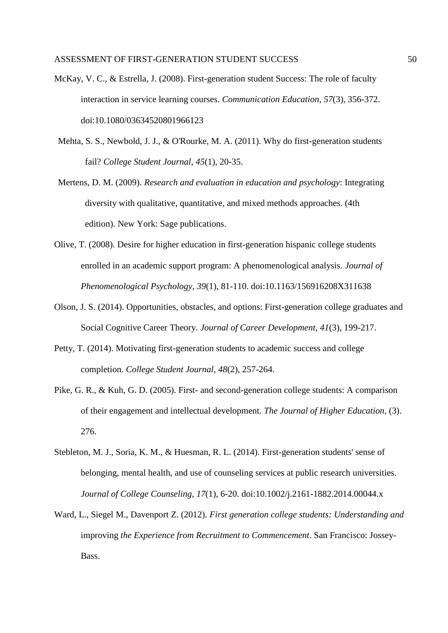- McKay, V. C., & Estrella, J. (2008). First-generation student Success: The role of faculty interaction in service learning courses. *Communication Education*, *57*(3), 356-372. doi:10.1080/03634520801966123
- Mehta, S. S., Newbold, J. J., & O'Rourke, M. A. (2011). Why do first-generation students fail? *College Student Journal*, *45*(1), 20-35.
- Mertens, D. M. (2009). *Research and evaluation in education and psychology*: Integrating diversity with qualitative, quantitative, and mixed methods approaches. (4th edition). New York: Sage publications.
- Olive, T. (2008). Desire for higher education in first-generation hispanic college students enrolled in an academic support program: A phenomenological analysis. *Journal of Phenomenological Psychology*, *39*(1), 81-110. doi:10.1163/156916208X311638
- Olson, J. S. (2014). Opportunities, obstacles, and options: First-generation college graduates and Social Cognitive Career Theory. *Journal of Career Development*, *41*(3), 199-217.
- Petty, T. (2014). Motivating first-generation students to academic success and college completion. *College Student Journal*, *48*(2), 257-264.
- Pike, G. R., & Kuh, G. D. (2005). First- and second-generation college students: A comparison of their engagement and intellectual development. *The Journal of Higher Education*, (3). 276.
- Stebleton, M. J., Soria, K. M., & Huesman, R. L. (2014). First-generation students' sense of belonging, mental health, and use of counseling services at public research universities. *Journal of College Counseling*, *17*(1), 6-20. doi:10.1002/j.2161-1882.2014.00044.x
- Ward, L., Siegel M., Davenport Z. (2012). *First generation college students: Understanding and*  improving *the Experience from Recruitment to Commencement*. San Francisco: Jossey-Bass.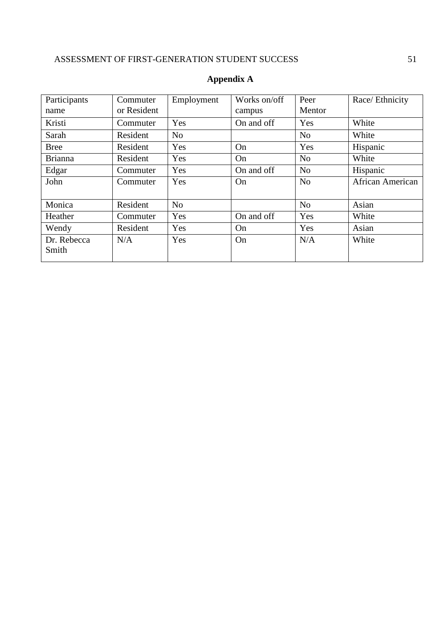| Participants<br>name | Commuter<br>or Resident | Employment     | Works on/off<br>campus | Peer<br>Mentor | Race/ Ethnicity         |
|----------------------|-------------------------|----------------|------------------------|----------------|-------------------------|
| Kristi               | Commuter                | Yes            | On and off             | Yes            | White                   |
| Sarah                | Resident                | N <sub>o</sub> |                        | N <sub>o</sub> | White                   |
| <b>Bree</b>          | Resident                | Yes            | On                     | Yes            | Hispanic                |
| <b>Brianna</b>       | Resident                | Yes            | On                     | N <sub>o</sub> | White                   |
| Edgar                | Commuter                | Yes            | On and off             | N <sub>o</sub> | Hispanic                |
| John                 | Commuter                | Yes            | On                     | N <sub>o</sub> | <b>African American</b> |
| Monica               | Resident                | N <sub>o</sub> |                        | N <sub>o</sub> | Asian                   |
| Heather              | Commuter                | Yes            | On and off             | Yes            | White                   |
| Wendy                | Resident                | Yes            | On                     | Yes            | Asian                   |
| Dr. Rebecca<br>Smith | N/A                     | Yes            | On                     | N/A            | White                   |

## **Appendix A**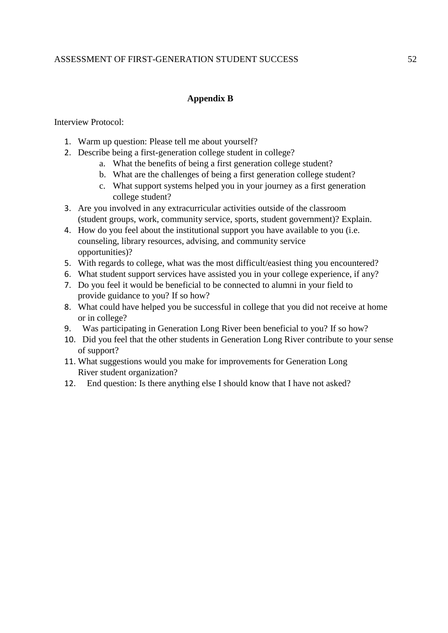## **Appendix B**

Interview Protocol:

- 1. Warm up question: Please tell me about yourself?
- 2. Describe being a first-generation college student in college?
	- a. What the benefits of being a first generation college student?
	- b. What are the challenges of being a first generation college student?
	- c. What support systems helped you in your journey as a first generation college student?
- 3. Are you involved in any extracurricular activities outside of the classroom (student groups, work, community service, sports, student government)? Explain.
- 4. How do you feel about the institutional support you have available to you (i.e. counseling, library resources, advising, and community service opportunities)?
- 5. With regards to college, what was the most difficult/easiest thing you encountered?
- 6. What student support services have assisted you in your college experience, if any?
- 7. Do you feel it would be beneficial to be connected to alumni in your field to provide guidance to you? If so how?
- 8. What could have helped you be successful in college that you did not receive at home or in college?
- 9. Was participating in Generation Long River been beneficial to you? If so how?
- 10. Did you feel that the other students in Generation Long River contribute to your sense of support?
- 11. What suggestions would you make for improvements for Generation Long River student organization?
- 12. End question: Is there anything else I should know that I have not asked?